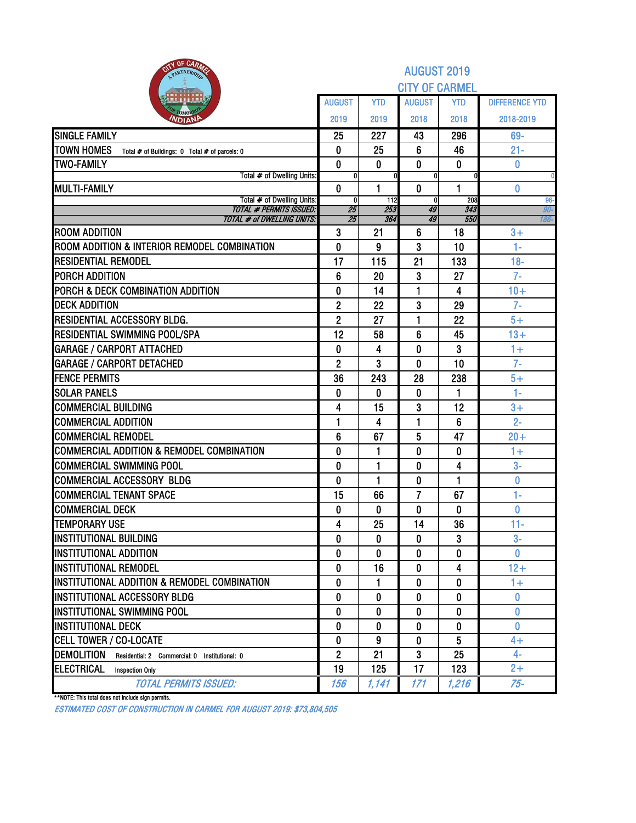| OF CARM<br>PARTNERSH                                                | <b>AUGUST 2019</b><br><b>CITY OF CARMEL</b> |              |                |            |                       |  |  |  |  |  |  |
|---------------------------------------------------------------------|---------------------------------------------|--------------|----------------|------------|-----------------------|--|--|--|--|--|--|
|                                                                     | <b>AUGUST</b>                               | <b>YTD</b>   | <b>AUGUST</b>  | <b>YTD</b> | <b>DIFFERENCE YTD</b> |  |  |  |  |  |  |
| Омо                                                                 | 2019                                        | 2019         | 2018           | 2018       | 2018-2019             |  |  |  |  |  |  |
| <b>NDIAN</b>                                                        |                                             |              |                |            |                       |  |  |  |  |  |  |
| <b>SINGLE FAMILY</b>                                                | 25                                          | 227          | 43             | 296        | 69-<br>$21 -$         |  |  |  |  |  |  |
| <b>TOWN HOMES</b><br>Total # of Buildings: 0 Total # of parcels: 0  | 0<br>$\mathbf 0$                            | 25           | 6<br>$\bf{0}$  | 46         |                       |  |  |  |  |  |  |
| <b>TWO-FAMILY</b><br>Total # of Dwelling Units:                     | O                                           | 0            |                | 0          | 0                     |  |  |  |  |  |  |
| <b>MULTI-FAMILY</b>                                                 | $\mathbf{0}$                                | 1            | $\bf{0}$       | 1          | 0                     |  |  |  |  |  |  |
| Total # of Dwelling Units:                                          | 0                                           | 112          | 0              | 208        | $96-$                 |  |  |  |  |  |  |
| <b>TOTAL # PERMITS ISSUED:</b><br><b>TOTAL # of DWELLING UNITS:</b> | 25<br>25                                    | 253<br>364   | 49<br>49       | 343<br>550 | 90-<br>186-           |  |  |  |  |  |  |
| <b>ROOM ADDITION</b>                                                | 3                                           | 21           | 6              | 18         | $3+$                  |  |  |  |  |  |  |
| ROOM ADDITION & INTERIOR REMODEL COMBINATION                        | $\bf{0}$                                    | 9            | 3              | 10         | $1 -$                 |  |  |  |  |  |  |
| <b>RESIDENTIAL REMODEL</b>                                          | 17                                          | 115          | 21             | 133        | $18-$                 |  |  |  |  |  |  |
| PORCH ADDITION                                                      | 6                                           | 20           | 3              | 27         | $7-$                  |  |  |  |  |  |  |
| PORCH & DECK COMBINATION ADDITION                                   | $\bf{0}$                                    | 14           | 1              | 4          | $10+$                 |  |  |  |  |  |  |
| <b>DECK ADDITION</b>                                                | $\mathbf{2}$                                | 22           | 3              | 29         | $7-$                  |  |  |  |  |  |  |
| RESIDENTIAL ACCESSORY BLDG.                                         | $\overline{2}$                              | 27           | 1              | 22         | $5+$                  |  |  |  |  |  |  |
| RESIDENTIAL SWIMMING POOL/SPA                                       | 12                                          | 58           | $6\phantom{1}$ | 45         | $13+$                 |  |  |  |  |  |  |
| <b>GARAGE / CARPORT ATTACHED</b>                                    | 0                                           | 4            | 0              | 3          | $1+$                  |  |  |  |  |  |  |
| <b>GARAGE / CARPORT DETACHED</b>                                    | $\overline{2}$                              | 3            | $\bf{0}$       | 10         | $7-$                  |  |  |  |  |  |  |
| <b>FENCE PERMITS</b>                                                | 36                                          | 243          | 28             | 238        | $5+$                  |  |  |  |  |  |  |
| <b>SOLAR PANELS</b>                                                 | 0                                           | 0            | 0              | 1          | $1 -$                 |  |  |  |  |  |  |
| <b>COMMERCIAL BUILDING</b>                                          | 4                                           | 15           | 3              | 12         | $3+$                  |  |  |  |  |  |  |
| <b>COMMERCIAL ADDITION</b>                                          | 1                                           | 4            | 1              | 6          | $2 -$                 |  |  |  |  |  |  |
| <b>COMMERCIAL REMODEL</b>                                           | $6\phantom{1}6$                             | 67           | 5              | 47         | $20 +$                |  |  |  |  |  |  |
| <b>COMMERCIAL ADDITION &amp; REMODEL COMBINATION</b>                | $\bf{0}$                                    | 1            | 0              | 0          | $1+$                  |  |  |  |  |  |  |
| <b>COMMERCIAL SWIMMING POOL</b>                                     | 0                                           | 1            | 0              | 4          | $3-$                  |  |  |  |  |  |  |
| <b>COMMERCIAL ACCESSORY BLDG</b>                                    | $\bf{0}$                                    | 1            | 0              | 1          | 0                     |  |  |  |  |  |  |
| <b>COMMERCIAL TENANT SPACE</b>                                      | 15                                          | 66           | $\overline{7}$ | 67         | $1-$                  |  |  |  |  |  |  |
| <b>COMMERCIAL DECK</b>                                              | $\bf{0}$                                    | 0            | 0              | 0          | 0                     |  |  |  |  |  |  |
| <b>TEMPORARY USE</b>                                                | 4                                           | 25           | 14             | 36         | $11 -$                |  |  |  |  |  |  |
| <b>INSTITUTIONAL BUILDING</b>                                       | 0                                           | 0            | 0              | 3          | $3-$                  |  |  |  |  |  |  |
| <b>INSTITUTIONAL ADDITION</b>                                       | 0                                           | 0            | 0              | 0          | $\bf{0}$              |  |  |  |  |  |  |
| <b>INSTITUTIONAL REMODEL</b>                                        | $\mathbf{0}$                                | 16           | 0              | 4          | $12+$                 |  |  |  |  |  |  |
| INSTITUTIONAL ADDITION & REMODEL COMBINATION                        | $\bf{0}$                                    | 1            | 0              | 0          | $1+$                  |  |  |  |  |  |  |
| INSTITUTIONAL ACCESSORY BLDG                                        | 0                                           | 0            | 0              | 0          | $\bf{0}$              |  |  |  |  |  |  |
| <b>INSTITUTIONAL SWIMMING POOL</b>                                  | $\mathbf{0}$                                | $\mathbf{0}$ | 0              | 0          | 0                     |  |  |  |  |  |  |
| <b>INSTITUTIONAL DECK</b>                                           | 0                                           | 0            | 0              | 0          | 0                     |  |  |  |  |  |  |
| <b>CELL TOWER / CO-LOCATE</b>                                       | 0                                           | 9            | 0              | 5          | $4+$                  |  |  |  |  |  |  |
| <b>DEMOLITION</b><br>Residential: 2 Commercial: 0 Institutional: 0  | $\overline{2}$                              | 21           | 3              | 25         | 4-                    |  |  |  |  |  |  |
| ELECTRICAL<br><b>Inspection Only</b>                                | 19                                          | 125          | 17             | 123        | $2+$                  |  |  |  |  |  |  |
| <b>TOTAL PERMITS ISSUED:</b>                                        | 156                                         | 1,141        | 171            | 1,216      | $75 -$                |  |  |  |  |  |  |

\*\*NOTE: This total does not include sign permits.

ESTIMATED COST OF CONSTRUCTION IN CARMEL FOR AUGUST 2019: \$73,804,505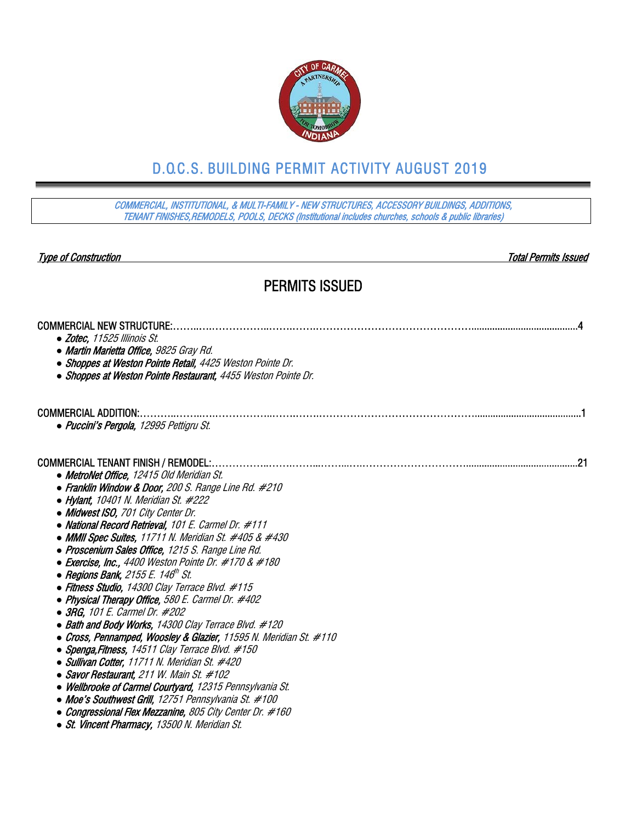

## D.O.C.S. BUILDING PERMIT ACTIVITY AUGUST 2019

COMMERCIAL, INSTITUTIONAL, & MULTI-FAMILY - NEW STRUCTURES, ACCESSORY BUILDINGS, ADDITIONS, TENANT FINISHES,REMODELS, POOLS, DECKS (Institutional includes churches, schools & public libraries)

Type of Construction Total Permits Issued

### PERMITS ISSUED

| • Martin Marietta Office, 9825 Gray Rd.<br>• Shoppes at Weston Pointe Retail, 4425 Weston Pointe Dr.<br>• Shoppes at Weston Pointe Restaurant, 4455 Weston Pointe Dr.<br><b>COMMERCIAL ADDITION:</b><br>· Puccini's Pergola, 12995 Pettigru St.<br><b>COMMERCIAL TENANT FINISH / REMODEL:</b><br>.21<br>• MetroNet Office, 12415 Old Meridian St.<br>• Franklin Window & Door, 200 S. Range Line Rd. #210<br>• Hylant, 10401 N. Meridian St. $#222$<br>• Midwest ISO, 701 City Center Dr.<br>• National Record Retrieval, 101 E. Carmel Dr. #111<br>• MMII Spec Suites, 11711 N. Meridian St. #405 & #430<br>• Proscenium Sales Office, 1215 S. Range Line Rd.<br>• Exercise, Inc., 4400 Weston Pointe Dr. #170 & #180<br>• Regions Bank, 2155 E. 146 <sup>th</sup> St.<br>• Fitness Studio, 14300 Clay Terrace Blvd. #115<br>• Physical Therapy Office, 580 E. Carmel Dr. #402<br>• 3RG, 101 E. Carmel Dr. #202<br>• Bath and Body Works, 14300 Clay Terrace Blvd. #120<br>• Cross, Pennamped, Woosley & Glazier, 11595 N. Meridian St. #110<br>• Spenga, Fitness, 14511 Clay Terrace Blvd. #150<br>• Sullivan Cotter, 11711 N. Meridian St. #420<br>• Savor Restaurant, 211 W. Main St. #102 | <b>COMMERCIAL NEW STRUCTURE:</b> |
|------------------------------------------------------------------------------------------------------------------------------------------------------------------------------------------------------------------------------------------------------------------------------------------------------------------------------------------------------------------------------------------------------------------------------------------------------------------------------------------------------------------------------------------------------------------------------------------------------------------------------------------------------------------------------------------------------------------------------------------------------------------------------------------------------------------------------------------------------------------------------------------------------------------------------------------------------------------------------------------------------------------------------------------------------------------------------------------------------------------------------------------------------------------------------------------------|----------------------------------|
|                                                                                                                                                                                                                                                                                                                                                                                                                                                                                                                                                                                                                                                                                                                                                                                                                                                                                                                                                                                                                                                                                                                                                                                                | • Zotec, 11525 Illinois St.      |
|                                                                                                                                                                                                                                                                                                                                                                                                                                                                                                                                                                                                                                                                                                                                                                                                                                                                                                                                                                                                                                                                                                                                                                                                |                                  |
|                                                                                                                                                                                                                                                                                                                                                                                                                                                                                                                                                                                                                                                                                                                                                                                                                                                                                                                                                                                                                                                                                                                                                                                                |                                  |
|                                                                                                                                                                                                                                                                                                                                                                                                                                                                                                                                                                                                                                                                                                                                                                                                                                                                                                                                                                                                                                                                                                                                                                                                |                                  |
|                                                                                                                                                                                                                                                                                                                                                                                                                                                                                                                                                                                                                                                                                                                                                                                                                                                                                                                                                                                                                                                                                                                                                                                                |                                  |
|                                                                                                                                                                                                                                                                                                                                                                                                                                                                                                                                                                                                                                                                                                                                                                                                                                                                                                                                                                                                                                                                                                                                                                                                |                                  |
|                                                                                                                                                                                                                                                                                                                                                                                                                                                                                                                                                                                                                                                                                                                                                                                                                                                                                                                                                                                                                                                                                                                                                                                                |                                  |
|                                                                                                                                                                                                                                                                                                                                                                                                                                                                                                                                                                                                                                                                                                                                                                                                                                                                                                                                                                                                                                                                                                                                                                                                |                                  |
|                                                                                                                                                                                                                                                                                                                                                                                                                                                                                                                                                                                                                                                                                                                                                                                                                                                                                                                                                                                                                                                                                                                                                                                                |                                  |
|                                                                                                                                                                                                                                                                                                                                                                                                                                                                                                                                                                                                                                                                                                                                                                                                                                                                                                                                                                                                                                                                                                                                                                                                |                                  |
|                                                                                                                                                                                                                                                                                                                                                                                                                                                                                                                                                                                                                                                                                                                                                                                                                                                                                                                                                                                                                                                                                                                                                                                                |                                  |
|                                                                                                                                                                                                                                                                                                                                                                                                                                                                                                                                                                                                                                                                                                                                                                                                                                                                                                                                                                                                                                                                                                                                                                                                |                                  |
|                                                                                                                                                                                                                                                                                                                                                                                                                                                                                                                                                                                                                                                                                                                                                                                                                                                                                                                                                                                                                                                                                                                                                                                                |                                  |
|                                                                                                                                                                                                                                                                                                                                                                                                                                                                                                                                                                                                                                                                                                                                                                                                                                                                                                                                                                                                                                                                                                                                                                                                |                                  |
|                                                                                                                                                                                                                                                                                                                                                                                                                                                                                                                                                                                                                                                                                                                                                                                                                                                                                                                                                                                                                                                                                                                                                                                                |                                  |
|                                                                                                                                                                                                                                                                                                                                                                                                                                                                                                                                                                                                                                                                                                                                                                                                                                                                                                                                                                                                                                                                                                                                                                                                |                                  |
|                                                                                                                                                                                                                                                                                                                                                                                                                                                                                                                                                                                                                                                                                                                                                                                                                                                                                                                                                                                                                                                                                                                                                                                                |                                  |
|                                                                                                                                                                                                                                                                                                                                                                                                                                                                                                                                                                                                                                                                                                                                                                                                                                                                                                                                                                                                                                                                                                                                                                                                |                                  |
|                                                                                                                                                                                                                                                                                                                                                                                                                                                                                                                                                                                                                                                                                                                                                                                                                                                                                                                                                                                                                                                                                                                                                                                                |                                  |
|                                                                                                                                                                                                                                                                                                                                                                                                                                                                                                                                                                                                                                                                                                                                                                                                                                                                                                                                                                                                                                                                                                                                                                                                |                                  |
|                                                                                                                                                                                                                                                                                                                                                                                                                                                                                                                                                                                                                                                                                                                                                                                                                                                                                                                                                                                                                                                                                                                                                                                                |                                  |
|                                                                                                                                                                                                                                                                                                                                                                                                                                                                                                                                                                                                                                                                                                                                                                                                                                                                                                                                                                                                                                                                                                                                                                                                |                                  |
|                                                                                                                                                                                                                                                                                                                                                                                                                                                                                                                                                                                                                                                                                                                                                                                                                                                                                                                                                                                                                                                                                                                                                                                                |                                  |
| • Wellbrooke of Carmel Courtyard, 12315 Pennsylvania St.                                                                                                                                                                                                                                                                                                                                                                                                                                                                                                                                                                                                                                                                                                                                                                                                                                                                                                                                                                                                                                                                                                                                       |                                  |
| • Moe's Southwest Grill, 12751 Pennsylvania St. #100                                                                                                                                                                                                                                                                                                                                                                                                                                                                                                                                                                                                                                                                                                                                                                                                                                                                                                                                                                                                                                                                                                                                           |                                  |
| • Congressional Flex Mezzanine, 805 City Center Dr. #160                                                                                                                                                                                                                                                                                                                                                                                                                                                                                                                                                                                                                                                                                                                                                                                                                                                                                                                                                                                                                                                                                                                                       |                                  |
| • St. Vincent Pharmacy, 13500 N. Meridian St.                                                                                                                                                                                                                                                                                                                                                                                                                                                                                                                                                                                                                                                                                                                                                                                                                                                                                                                                                                                                                                                                                                                                                  |                                  |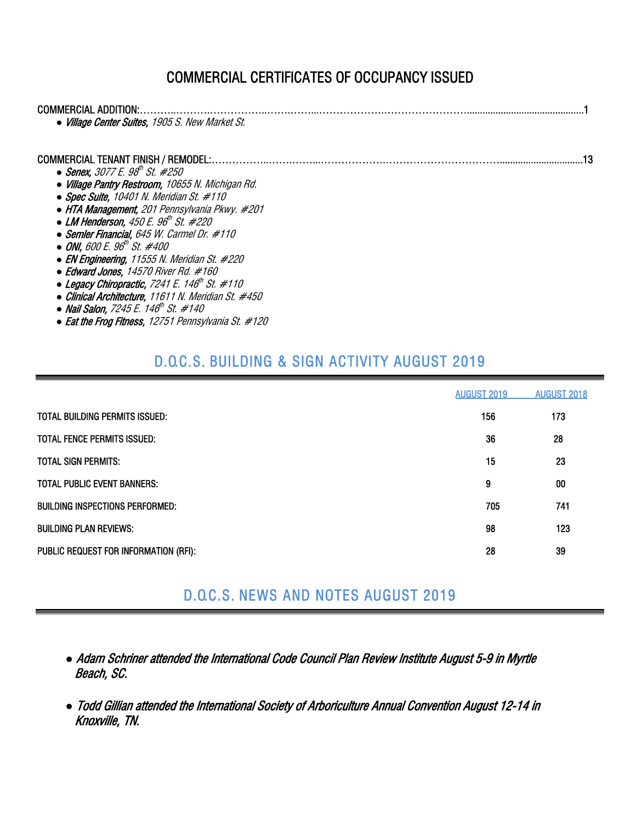## COMMERCIAL CERTIFICATES OF OCCUPANCY ISSUED

| COMMERCIAL ADDITION:<br>• Village Center Suites, 1905 S. New Market St.                                                                                                                                                                                                                                                                                                                                                                                                                                                                                                                                                                                                                                                      |  |
|------------------------------------------------------------------------------------------------------------------------------------------------------------------------------------------------------------------------------------------------------------------------------------------------------------------------------------------------------------------------------------------------------------------------------------------------------------------------------------------------------------------------------------------------------------------------------------------------------------------------------------------------------------------------------------------------------------------------------|--|
| COMMERCIAL TENANT FINISH / REMODEL:.<br>• Senex, 3077 E. $98^{\text{th}}$ St. #250<br>• Village Pantry Restroom, 10655 N. Michigan Rd.<br>• Spec Suite, 10401 N. Meridian St. $#110$<br>• HTA Management, 201 Pennsylvania Pkwy. #201<br>• LM Henderson, $450 E. 96^{\text{th}}$ St. #220<br>$\bullet$ Semler Financial, 645 W. Carmel Dr. #110<br>• ONI, 600 E. 96 <sup>th</sup> St. #400<br>• EN Engineering, 11555 N. Meridian St. $\#220$<br>$\bullet$ Edward Jones, 14570 River Rd. #160<br>• Legacy Chiropractic, 7241 E. 146 <sup>th</sup> St. #110<br>• Clinical Architecture, 11611 N. Meridian St. #450<br>• Nail Salon, 7245 E. 146 <sup>th</sup> St. #140<br>• Eat the Frog Fitness, 12751 Pennsylvania St. #120 |  |

## D.O.C.S. BUILDING & SIGN ACTIVITY AUGUST 2019

|                                        | <b>AUGUST 2019</b> | <b>AUGUST 2018</b> |
|----------------------------------------|--------------------|--------------------|
| TOTAL BUILDING PERMITS ISSUED:         | 156                | 173                |
| <b>TOTAL FENCE PERMITS ISSUED:</b>     | 36                 | 28                 |
| <b>TOTAL SIGN PERMITS:</b>             | 15                 | 23                 |
| <b>TOTAL PUBLIC EVENT BANNERS:</b>     | 9                  | 00                 |
| <b>BUILDING INSPECTIONS PERFORMED:</b> | 705                | 741                |
| <b>BUILDING PLAN REVIEWS:</b>          | 98                 | 123                |
| PUBLIC REQUEST FOR INFORMATION (RFI):  | 28                 | 39                 |

## D.O.C.S. NEWS AND NOTES AUGUST 2019

- *●* Adam Schriner attended the International Code Council Plan Review Institute August 5-9 in Myrtle Beach, SC.
- *●* Todd Gillian attended the International Society of Arboriculture Annual Convention August 12-14 in Knoxville, TN.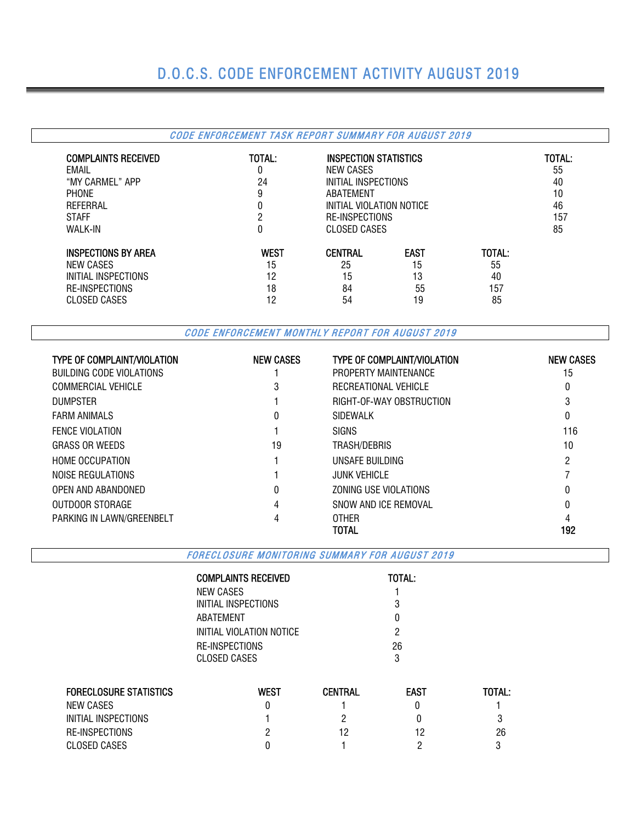# D.O.C.S. CODE ENFORCEMENT ACTIVITY AUGUST 2019

### CODE ENFORCEMENT TASK REPORT SUMMARY FOR AUGUST 2019

| <b>COMPLAINTS RECEIVED</b><br>EMAIL<br>"MY CARMEL" APP<br><b>PHONE</b><br>REFERRAL<br><b>STAFF</b><br><b>WALK-IN</b> | TOTAL:<br>0<br>24<br>9<br>0<br>っ<br>0 | NEW CASES<br>ABATEMENT<br><b>CLOSED CASES</b> | INSPECTION STATISTICS<br>INITIAL INSPECTIONS<br>INITIAL VIOLATION NOTICE<br><b>RE-INSPECTIONS</b> |        |    |  |  |  |  |
|----------------------------------------------------------------------------------------------------------------------|---------------------------------------|-----------------------------------------------|---------------------------------------------------------------------------------------------------|--------|----|--|--|--|--|
| <b>INSPECTIONS BY AREA</b>                                                                                           | <b>WEST</b>                           | <b>CENTRAL</b>                                | <b>EAST</b>                                                                                       | TOTAL: | 85 |  |  |  |  |
| NEW CASES                                                                                                            | 15                                    | 25                                            | 15                                                                                                | 55     |    |  |  |  |  |
| INITIAL INSPECTIONS                                                                                                  | 12                                    | 15                                            | 13                                                                                                | 40     |    |  |  |  |  |
| RE-INSPECTIONS                                                                                                       | 18                                    | 84                                            | 55                                                                                                | 157    |    |  |  |  |  |
| CLOSED CASES                                                                                                         | 12                                    | 54                                            | 19                                                                                                | 85     |    |  |  |  |  |

CODE ENFORCEMENT MONTHLY REPORT FOR AUGUST 2019

| <b>TYPE OF COMPLAINT/VIOLATION</b> | <b>NEW CASES</b> | <b>TYPE OF COMPLAINT/VIOLATION</b> | <b>NEW CASES</b> |
|------------------------------------|------------------|------------------------------------|------------------|
| BUILDING CODE VIOLATIONS           |                  | PROPERTY MAINTENANCE               | 15               |
| <b>COMMERCIAL VEHICLE</b>          | 3                | RECREATIONAL VEHICLE               | 0                |
| <b>DUMPSTER</b>                    |                  | RIGHT-OF-WAY OBSTRUCTION           |                  |
| <b>FARM ANIMALS</b>                | 0                | <b>SIDEWALK</b>                    |                  |
| <b>FENCE VIOLATION</b>             |                  | <b>SIGNS</b>                       | 116              |
| <b>GRASS OR WEEDS</b>              | 19               | TRASH/DEBRIS                       | 10               |
| <b>HOME OCCUPATION</b>             |                  | UNSAFE BUILDING                    | 2                |
| NOISE REGULATIONS                  |                  | <b>JUNK VEHICLE</b>                |                  |
| OPEN AND ABANDONED                 | 0                | ZONING USE VIOLATIONS              |                  |
| OUTDOOR STORAGE                    | 4                | SNOW AND ICF REMOVAL               |                  |
| PARKING IN LAWN/GREENBELT          |                  | OTHER                              |                  |
|                                    |                  | TOTAL                              | 192              |

FORECLOSURE MONITORING SUMMARY FOR AUGUST 2019

| <b>TOTAL:</b> |
|---------------|
|               |
| 3             |
| O             |
| 2             |
| 26            |
| 3             |
|               |

| <b>FORECLOSURE STATISTICS</b> | West | CENTRAL | <b>EAST</b> | <b>TOTAL:</b> |
|-------------------------------|------|---------|-------------|---------------|
| NEW CASES                     |      |         |             |               |
| INITIAL INSPECTIONS           |      |         |             |               |
| RE-INSPECTIONS                |      |         | 12          | 26            |
| CLOSED CASES                  |      |         |             |               |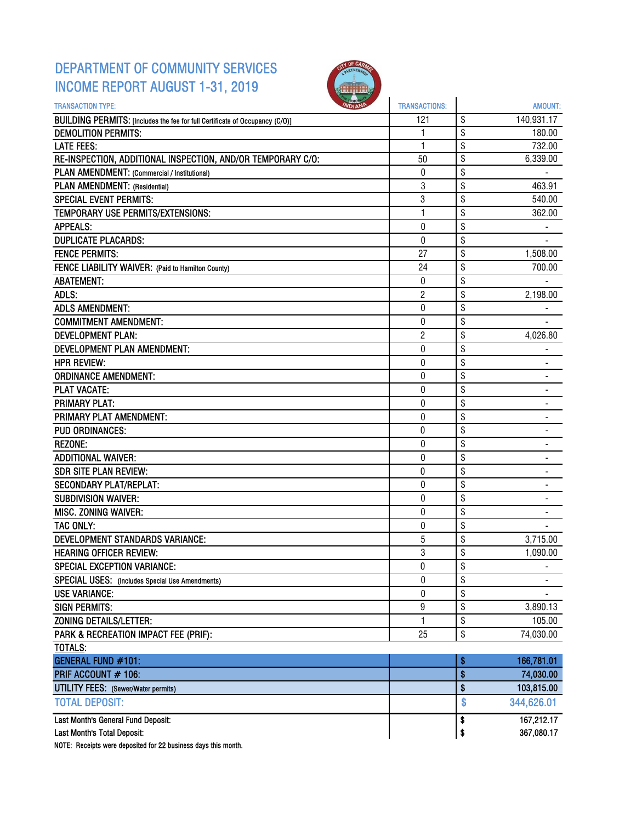## DEPARTMENT OF COMMUNITY SERVICES INCOME REPORT AUGUST 1-31, 2019



| <b>TRANSACTION TYPE:</b>                                                     | <b>TRANSACTIONS:</b> | AMOUNT:                        |
|------------------------------------------------------------------------------|----------------------|--------------------------------|
| BUILDING PERMITS: [Includes the fee for full Certificate of Occupancy (C/O)] | 121                  | \$<br>140,931.17               |
| <b>DEMOLITION PERMITS:</b>                                                   | 1                    | \$<br>180.00                   |
| <b>LATE FEES:</b>                                                            | 1                    | \$<br>732.00                   |
| RE-INSPECTION, ADDITIONAL INSPECTION, AND/OR TEMPORARY C/O:                  | 50                   | \$<br>6,339.00                 |
| PLAN AMENDMENT: (Commercial / Institutional)                                 | 0                    | \$                             |
| PLAN AMENDMENT: (Residential)                                                | 3                    | \$<br>463.91                   |
| <b>SPECIAL EVENT PERMITS:</b>                                                | 3                    | \$<br>540.00                   |
| TEMPORARY USE PERMITS/EXTENSIONS:                                            | 1                    | \$<br>362.00                   |
| <b>APPEALS:</b>                                                              | 0                    | \$                             |
| <b>DUPLICATE PLACARDS:</b>                                                   | $\boldsymbol{0}$     | \$                             |
| <b>FENCE PERMITS:</b>                                                        | 27                   | \$<br>1,508.00                 |
| FENCE LIABILITY WAIVER: (Paid to Hamilton County)                            | 24                   | \$<br>700.00                   |
| <b>ABATEMENT:</b>                                                            | 0                    | \$                             |
| ADLS:                                                                        | $\overline{2}$       | \$<br>2,198.00                 |
| <b>ADLS AMENDMENT:</b>                                                       | $\pmb{0}$            | \$                             |
| <b>COMMITMENT AMENDMENT:</b>                                                 | 0                    | \$                             |
| <b>DEVELOPMENT PLAN:</b>                                                     | $\overline{2}$       | \$<br>4,026.80                 |
| DEVELOPMENT PLAN AMENDMENT:                                                  | 0                    | \$                             |
| <b>HPR REVIEW:</b>                                                           | 0                    | \$                             |
| <b>ORDINANCE AMENDMENT:</b>                                                  | 0                    | \$                             |
| <b>PLAT VACATE:</b>                                                          | 0                    | \$<br>-                        |
| <b>PRIMARY PLAT:</b>                                                         | 0                    | \$                             |
| PRIMARY PLAT AMENDMENT:                                                      | 0                    | \$                             |
| <b>PUD ORDINANCES:</b>                                                       | 0                    | \$                             |
| <b>REZONE:</b>                                                               | $\pmb{0}$            | \$                             |
| <b>ADDITIONAL WAIVER:</b>                                                    | 0                    | \$                             |
| <b>SDR SITE PLAN REVIEW:</b>                                                 | 0                    | \$<br>$\overline{\phantom{a}}$ |
| <b>SECONDARY PLAT/REPLAT:</b>                                                | $\mathbf 0$          | \$                             |
| <b>SUBDIVISION WAIVER:</b>                                                   | 0                    | \$                             |
| <b>MISC. ZONING WAIVER:</b>                                                  | 0                    | \$                             |
| <b>TAC ONLY:</b>                                                             | $\pmb{0}$            | \$                             |
| DEVELOPMENT STANDARDS VARIANCE:                                              | 5                    | \$<br>3,715.00                 |
| <b>HEARING OFFICER REVIEW:</b>                                               | 3                    | \$<br>1,090.00                 |
| <b>SPECIAL EXCEPTION VARIANCE:</b>                                           | 0                    | \$                             |
| SPECIAL USES: (Includes Special Use Amendments)                              | $\bf{0}$             | \$                             |
| <b>USE VARIANCE:</b>                                                         | 0                    | \$                             |
| <b>SIGN PERMITS:</b>                                                         | 9                    | \$<br>3,890.13                 |
| <b>ZONING DETAILS/LETTER:</b>                                                | 1                    | \$<br>105.00                   |
| PARK & RECREATION IMPACT FEE (PRIF):                                         | 25                   | \$<br>74,030.00                |
| <b>TOTALS:</b>                                                               |                      |                                |
| <b>GENERAL FUND #101:</b>                                                    |                      | \$<br>166,781.01               |
| PRIF ACCOUNT # 106:                                                          |                      | \$<br>74,030.00                |
| <b>UTILITY FEES:</b> (Sewer/Water permits)                                   |                      | \$<br>103,815.00               |
| <b>TOTAL DEPOSIT:</b>                                                        |                      | \$<br>344,626.01               |
| Last Month's General Fund Deposit:                                           |                      | \$<br>167,212.17               |
| Last Month's Total Deposit:                                                  |                      | \$<br>367,080.17               |

NOTE: Receipts were deposited for 22 business days this month.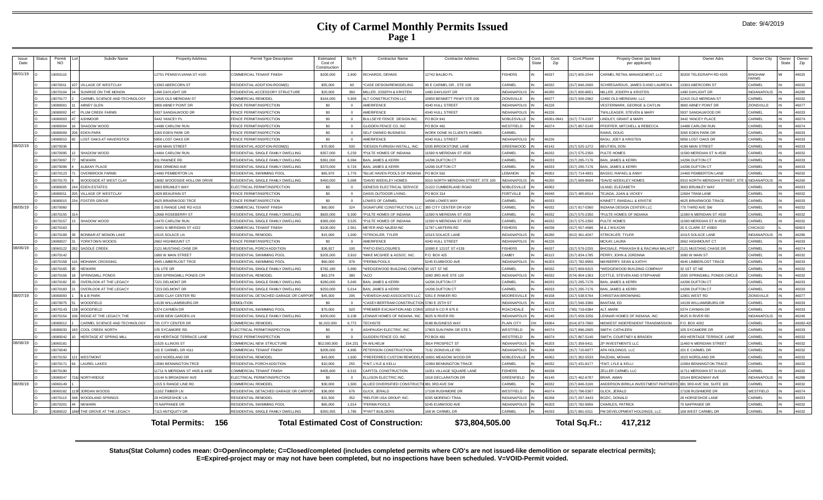| Issue<br>Date | Permit<br><b>NO</b>    |    | Subdiv Name                    | <b>Property Address</b>         | Permit Type Description               | Estimated<br>Cost of<br>Constructio | Sq Ft      | <b>Contractor Name</b>                       | <b>Contractor Address</b>                | Cont.City<br>Cont.<br>State | Cont<br>Zip | Cont.Phone     | Propety Owner (as listed<br>per applicant)                   | Owner Adrs                      | Owner City                     | Owner<br>State | Owner<br>Zip |
|---------------|------------------------|----|--------------------------------|---------------------------------|---------------------------------------|-------------------------------------|------------|----------------------------------------------|------------------------------------------|-----------------------------|-------------|----------------|--------------------------------------------------------------|---------------------------------|--------------------------------|----------------|--------------|
| 08/01/19 O    | 9050110                |    |                                | 12751 PENNSYLVANIA ST #100      | COMMERCIAL TENANT FINISH              | \$200,000                           | 2,800      | RICHARDS, DENNIS                             | 2742 BALBO PL                            | <b>FISHERS</b>              | 46037       | 317) 605-2544  | ARMEL RETAIL MANAGEMENT, LLC                                 | 30200 TELEGRAPH RD #205         | <b>BINGHAM</b><br><b>FARMS</b> |                | 48025        |
|               | 9070011                |    | 07 VILLAGE OF WESTCLAY         | 13363 ARERCORN ST               | RESIDENTIAL ADDITION-ROOM(S           | \$55,000                            | 60         | *CASE DESIGN/REMODELING                      | 99 E CARMEL DR STE 100                   | CARMEL                      | 46032       | (317) 846-2600 | CHREGARDUS, JAMES D AND LAUREN A                             | 3363 ABERCORN ST                | CARMEL                         |                | 16032        |
|               | 9070104                |    | SUNRISE ON THE MONON           | 1490 DAYLIGHT DR                | RESIDENTIAL ACCESSORY STRUCTURE       | \$20,000                            | 360        | MILLER, JOSEPH & KRISTEN                     | 490 DAYLIGHT DR                          | <b>NDIANAPOLIS</b>          | 46280       | 317) 600-8651  | ILLER, JOSEPH & KRISTEN                                      | 1490 DAYLIGHT DR                | <b>INDIANAPOLIS</b>            |                | 16280        |
|               | 9070177                |    | CARMEL SCIENCE AND TECHNOLOGY  | 12415 OLD MERIDIAN ST           | COMMERCIAL REMODEL                    | \$164,000                           | 5.904      | ALT CONSTRUCTION LLC                         | 0650 BENNETT PKWY STE 200                | <b>ZIONSVILLE</b>           | 46077       | 317) 506-2962  | 2400 OLD MERIDIAN, LLC                                       | 12415 OLD MERIDAN ST            | CARMEL                         |                | 16032        |
|               | 9080001                |    | ARNEY GLEN                     | 3800 ABNEY POINT DR             | FENCE PERMIT/INSPECTION               | \$0                                 | $\sqrt{2}$ | <b>AMERIFENCE</b>                            | 340 HULL STREET                          | <b>INDIANAPOLIS</b>         | 46226       |                | ESTERMARK, GEORGE & CAITLIN                                  | 3800 ABNEY POINT DE             | <b>ZIONSVILLE</b>              |                | 46077        |
|               | 9080002                |    | PLUM CREEK FARMS               | 5937 SANDALWOOD DF              | <b>ENCE PERMIT/INSPECTION</b>         | \$0                                 |            | AMERIFENCE                                   | 340 HULL STREET                          | NDIANAPOLIS                 | 46226       |                | VILLEAGER, STEVEN & MARY                                     | 937 SANDALWOOD DF               | CARMEL                         |                | 46033        |
|               | 19080003               | 47 | <b>ASHMOOR</b>                 | 3442 YANCEY PL                  | FENCE PERMIT/INSPECTION               | \$0                                 |            | BULLSEYE FENCE DESIGN INC.                   | PO BOX 941                               | NOBLESVILLE                 | 46061-0941  | (317) 774-0197 | <b>INDLEY, GRANT &amp; MARY</b>                              | 3442 YANCEY PLACE               | CARMEI                         |                | 46074        |
|               | 9080004                |    | SHADOW WOOD                    | 14488 CARLOW RUN                | FENCE PERMIT/INSPECTION               | \$0                                 |            | GLIDDEN FENCE CO, INC                        | O BOX 481                                | WESTFIELD                   | 46074       | 317) 867-5140  | FEIFFER, MITCHELL & REBECCA                                  | 4488 CARLOW RUN                 | CARMEL                         |                | 46074        |
|               | 9080009                |    | 206 EDEN PARK                  | 3265 EDEN PARK DR               | FENCE PERMIT/INSPECTION               | \$0                                 | $\sqrt{2}$ | SELF OWNED BUSINESS                          | <b><i>NORK DONE IN CLIENTS HOMES</i></b> | CARMEL                      |             |                | RAINS, DOUG                                                  | 3265 EDEN PARK DR               | CARMEL                         |                | 46033        |
|               | 9080010                |    | <b>LOST OAKS AT HAVERSTICK</b> | 5856 LOST OAKS DR               | FENCE PERMIT/INSPECTION               | \$0                                 | $\Omega$   | AMERIFENCE                                   | 340 HULL STREET                          | <b>INDIANAPOLIS</b>         | 46226       |                | BASU, JOEY & KRISTEN                                         | 5856 LOST OAKS DR               | CARMEL                         |                | 46033        |
| 08/02/19      | 9070036                |    |                                | 1189 MAIN STREET                | RESIDENTIAL ADDITION-ROOM(S)          | \$70,000                            | 500        | DESIGN FURNISH INSTALL, INC.                 | 335 BROOKSTONE LANE                      | <b>GREENWOOD</b>            | 46142       | 317) 525-1272  | EUTIEN, DON                                                  | <b>189 MAIN STREET</b>          | CARME                          |                | 6033         |
|               | 9070095                |    | SHADOW WOOD                    | 14464 CARLOW RUN                | RESIDENTIAL SINGLE FAMILY DWELLING    | \$357,000                           | 5,233      | *PULTE HOMES OF INDIANA                      | 1590 N MERIDIAN ST #530                  | CARMEL                      | 46032       | 317) 575-2350  | <b>ULTE HOMES</b>                                            | 11590 MERIDIAN ST N #530        | CARMEL                         |                | 16032        |
|               | 9070097                |    | 77 NFWARK                      | 811 PAWNEE RD                   | RESIDENTIAL SINGLE FAMILY DWELLING    | \$361,000                           | 6.084      | <b>BAN, JAMES &amp; KERRI</b>                | 4296 DUFTON CT                           | CARMEL                      | 46033       | 317) 295-7176  | AN. JAMES & KERRI                                            | 4296 DUFTON CT                  | CARMEL                         |                | 16033        |
|               | 9070099                |    | <b>ALBANY PLACE</b>            | 3566 ORMOND AVE                 | RESIDENTIAL SINGLE FAMILY DWELLING    | \$370,000                           | 6.724      | <b>BAN, JAMES &amp; KERRI</b>                | 4296 DUFTON CT                           | CARMEL                      | 46033       | (317) 295-7176 | AN. JAMES & KERRI                                            | 14296 DUFTON CT                 | CARMEL                         |                | 46033        |
|               | 9070123                |    | <b>OVERBROOK FARMS</b>         | 14460 PEMBERTON IN              | RESIDENTIAL SWIMMING POOL             | \$65,970                            | 1.776      | *BLUE HAVEN POOLS OF INDIANA                 | PO BOX 562                               | <b>I FRANON</b>             | 46052       | (317) 714-4831 | ASSO, RAFAEL & ANNY                                          | 14460 PEMBERTON LANE            | CARMEL                         |                | 16032        |
|               | 9070170                |    | WOODSIDE AT WEST CLAY          | 13682 WOODSIDE HOLLOW DRIVE     | RESIDENTIAL SINGLE FAMILY DWELLING    | \$450,000                           | 5.098      | *DAVID WEEKLEY HOMES                         | 310 NORTH MERIDIAN STREET, STE 100       | <b>INDIANAPOLIS</b>         | 46260       | 317) 669-8604  | <b>DAVID WEEKLEY HOMES</b>                                   | 3310 NORTH MERIDIAN STREET, STE | 1 INDIANAPOLIS                 |                | 16260        |
|               | 20008005               |    | 244 EDEN ESTATES               | 3663 BRUMLEY WAY                | <b>I ECTRICAL PERMIT/INSPECTION</b>   | \$0                                 |            | GENESIS ELECTRICAL SERVICE                   | 1222 CUMBERLAND ROAD                     | NOBLESVILLE                 | 46062       |                | LAND, ELEZABETH                                              | <b>3663 BRUMLEY WAY</b>         | CARME                          |                | 16033        |
|               | 9080011                |    | 05 VILLAGE OF WESTCLAY         | 1829 BEAUFAIN ST                | <b>ENCE PERMIT/INSPECTION</b>         | \$0                                 |            | <b>DASIS OUTDOOR LIVING</b>                  | O BOX 314                                | <b>FORTVILLE</b>            | 46040       | 317) 485-6514  | EJADA, JUAN & VICKEY                                         | 2694 TRAM LANE                  | CARMEL                         |                | 6032         |
|               | 9080015                |    | 234 FOSTER GROVE               | 4625 BRIARWOOD TRCE             | FENCE PERMIT/INSPECTION               | \$0                                 | $\sqrt{2}$ | LOWES OF CARMEL                              | 4598 LOWES WAY                           | CARMEL                      | 46033       |                | INNETT, RANDALL & KRISTIE                                    | 4625 BRIARWOOD TRACE            | CARMEL                         |                | 46033        |
| 08/05/19      | 19070060               |    |                                | 200 S RANGE LINE RD #210        | COMMERCIAL TENANT FINISH              | \$60,000                            | 324        | SIGNATURE CONSTRUCTION, LLC                  | 385 CITY CENTER DR #100                  | CARMEL                      | 46032       | (317) 817-0360 | <b>NDIANA DESIGN CENTER LLC</b>                              | 770 THIRD AVE SW                | CARMEL                         |                | 46032        |
|               | 9070155                |    |                                | 12668 ROSEBERRY ST              | RESIDENTIAL SINGLE FAMILY DWELLING    | \$820,000                           | 9.300      | *PULTE HOMES OF INDIANA                      | 1590 N MERIDIAN ST #530                  | CARMEL                      | 46032       | 317) 575-2350  | PULTE HOMES OF INDIANA                                       | 11590 N MERIDIAN ST #530        | CARMEL                         |                | 46032        |
|               | 9070157                |    | 13 SHADOW WOOD                 | 14470 CARLOW RUN                | RESIDENTIAL SINGLE FAMILY DWELLING    | \$365,000                           | 3.525      | *PULTE HOMES OF INDIANA                      | 1590 N MERIDIAN ST #530                  | CARMEL                      | 46032       | (317) 575-2350 | ULTE HOMES                                                   | 11590 MERIDIAN ST N #530        | CARMEL                         |                | 16032        |
|               | 9070163                |    |                                | 10401 N MERIDIAN ST #222        | COMMERCIAL TENANT FINISH              | \$100,000                           | 2,561      | MEYER AND NAJEM INC                          | 1787 LANTERN RD                          | <b>FISHERS</b>              | 46038       | 317) 557-4686  | <b>8. J WILKOW</b>                                           | 20 S CLARK ST #3000             | CHICAGO                        |                | 60603        |
|               | 9070189                |    | BONBAR AT MONON LAKE           | 10115 SOLACE LN                 | RESIDENTIAL REMODEL                   | \$15,000                            | 1.000      | *STRICKLER, TYLER                            | 0115 SOLACE LANE                         | NDIANAPOLIS                 | 46280       | (812) 361-4047 | <b>TRICKLER, TYLER</b>                                       | 10115 SOLACE LANE               | <b>INDIANAPOLIS</b>            |                | 16280        |
|               | 9080027                |    | YORKTOWN WOODS                 | 2662 HIGHMOUNT CT               | FENCE PERMIT/INSPECTION               | \$0                                 |            | AMERIFENCE                                   | 340 HULL STREET                          | NDIANAPOLIS                 | 46226       |                | <b>ICKAY, LAURA</b>                                          | 2662 HIGHMOUNT CT               | CARMEL                         |                | 46033        |
| 08/06/19      | 19060122               |    | <b>282 SADDLE CREEK</b>        | 2121 MUSTANG CHSE DE            | RESIDENTIAL PORCH ADDITION            | \$36,927                            | 100        | *PATIO FNCLOSURES                            | 10080 E 121ST ST #139                    | <b>FISHERS</b>              | 46037       | (317) 579-2255 | HOSALE, PRAKASH B & RACHNA MALHOT                            | 2121 MUSTANG CHASE DR           | CARMEL                         |                | 46074        |
|               | 9070142                |    |                                | 1680 W MAIN STREET              | RESIDENTIAL SWIMMING POOL             | \$205,000                           | 3.910      | *MIKE MCGHEE & ASSOC. INC.                   | P.O. BOX 425                             | CAMBY                       | 46113       | 317) 834-1785  | FRRY. JOHN & JORDNNA                                         | 680 W MAIN ST                   | <b>CARMEL</b>                  |                | 16032        |
|               | 9070158                |    | 16 MOHAWK CROSSING             | 4945 LIMBERLOST TRCE            | RESIDENTIAL SWIMMING POOL             | \$60,000                            | 978        | PERMA POOLS                                  | 245 ELMWOOD AVE                          | NDIANAPOLIS                 | 46203       | 317) 782-9956  | <b>AYBERRY, SEAN &amp; KATHY</b>                             | 945 LIMBERLOST TRACE            | CARMEI                         |                | 16033        |
|               | 9070165                |    | NFWARK                         | 131 UTE DR                      | RESIDENTIAL SINGLE FAMILY DWELLING    | \$782,180                           | 5,960      | *WEDGEWOOD BUILDING COMPANI 32 1ST ST NE     |                                          | CARMEL                      | 46032       | 317) 669-6315  | <b><i>NEDGEWOOD BUILDING COMPANY</i></b>                     | 32 1ST ST NE                    | CARMEL                         |                | 46032        |
|               | 9070166                |    | SPRINGMILL PONDS               | 1555 SPRINGMILL PONDS CIR       | RESIDENTIAL REMODEL                   | \$63,379                            | 380        | *ACO                                         | 000 3RD AVE STE 120                      | NDIANAPOLIS                 | 46032       | 574) 904-1363  | OTTLE, STEVEN AND STEPHANIE                                  | 555 SPRINGMILL PONDS CIRCLE     | CARMEL                         |                | 16032        |
|               | 9070182                |    | 20 OVERLOOK AT THE LEGACY      | 7221 DELMONT DR                 | RESIDENTIAL SINGLE FAMILY DWELLING    | \$280,000                           | 5.045      | <b>BAN, JAMES &amp; KERRI</b>                | 4296 DUFTON CT                           | CARMEL                      | 46033       | (317) 295-7176 | AN, JAMES & KERRI                                            | 14296 DUFTON CT                 | CARMEL                         |                | 46033        |
|               | 9070183                |    | OVERLOOK AT THE LEGACY         | 7223 DELMONT DR                 | RESIDENTIAL SINGLE FAMILY DWELLING    | \$250,000                           | 5.014      | <b>BAN. JAMES &amp; KERR</b>                 | 4296 DUFTON CT                           | CARMEL                      | 46033       | (317) 295-7176 | AN, JAMES & KERRI                                            | 14296 DUFTON CT                 | CARMEL                         |                | 16033        |
| 08/07/19      | <b><i>FPOORDP1</i></b> |    | <b>B &amp; B PARK</b>          | 12650 CLAY CENTER RD            | RESIDENTIAL DETACHED GARAGE OR CARPO  | \$45,000                            | 295        | *VIEWEGH AND ASSOCIATES LLC                  | 5351 E RINKER RD                         | <b>MOORESVILLE</b>          | 46158       | 317) 538-5764  | <b>HRISTIAN BROWNING</b>                                     | 2801 WEST RD                    | ZIONSVILLE                     |                | 46077        |
|               | 9070075                |    | <b>WOODFIELD</b>               | 14139 WILLIAMSBURG DR           | <b>DEMOLITION</b>                     | \$0                                 |            | *CASEY-BERTRAM CONSTRUCTION                  | 5780 E 25TH ST                           | <b>INDIANAPOLIS</b>         | 46218       | 317) 546-3366  | ANTAM. FD                                                    | 14139 WILLIAMSBURG DR           | CARMEL                         |                | 46033        |
|               | 9070143                |    | <b>WOODFIELD</b>               | 5374 CAYMEN DR                  | RESIDENTIAL SWIMMING POOL             | \$70,000                            | 920        | PREMIER EXCAVATION AND CON                   | 0018 N CO R 675 E                        | ROACHDALE                   | 46172       | 765) 719-0384  | T. MARK                                                      | 5374 CAYMAN DR                  | CARMEL                         |                | 6033         |
|               | 9070154                |    | 06 RIDGE AT THE LEGACY, THE    | 14338 NEW GARDEN LN             | RESIDENTIAL SINGLE FAMILY DWELLING    | \$200,000                           | 6.108      | LENNAR HOMES OF INDIANA, INC.                | 9025 N RIVER RD                          | <b>INDIANAPOLIS</b>         | 46240       | (317) 659-3256 | ENNAR HOMES OF INDIANA, INC.                                 | 9025 N RIVER RD                 | <b>INDIANAPOLIS</b>            |                | 46240        |
|               | 9080012                |    | CARMEL SCIENCE AND TECHNOLOGY  | 701 CITY CENTER DR              | COMMERCIAL REMODEL                    | \$1,022,000                         | 6,772      | <b>TECHSITE</b>                              | 188 BUSINESS WAY                         | PLAIN CITY                  | 43064       | 614) 873-7800  | <b>IIDWEST INDEPENDENT TRANSMISSION</b>                      | P.O. BOX 4202                   | CARMEL                         |                | 46082-420    |
|               | 2200809                |    | 83 COOL CREEK NORTH            | 105 SYCAMORE RD                 | ELECTRICAL PERMIT/INSPECTION          | \$0                                 |            | ASHPAUGH ELECTRIC. INC                       | 7903 SUN PARK DR STE 5                   | WESTFIELD                   | 46074       | 317) 896-2605  | MITH, CATHLEEN                                               | 105 SYCAMORE DR                 | CARME                          |                | 46033        |
|               | 9080042                |    | HERITAGE AT SPRING MILL        | 459 HERITAGE TERRACE LANE       | FENCE PERMIT/INSPECTION               | \$0                                 |            | GLIDDEN FENCE CO. INC                        | PO ROX 481                               | WESTFIELD                   | 46074       | (317) 867-5140 | MITH, COURTNEY & BRADEN                                      | 459 HERITAGE TERRACE LANE       | CARMEL                         |                | 16032        |
| 08/08/19      | 9060181                |    |                                | 11525 ILLINOIS ST               | COMMERCIAL NEW STRUCTURE              | \$52,000,000                        | 154,231    | FA WILHELM                                   | 914 PROSPECT ST                          | <b>INDIANAPOLIS</b>         | 46203       | 317) 359-5411  | P INVESTMENTS LLC                                            | 1460 N MERIDIAN STREET          | CARMEL                         |                | 46032        |
|               | 9070040                |    |                                | 101 E CARMEL DR #111            | COMMERCIAL TENANT FINISH              | \$200,000                           | 4995       | PETERSON CONSTRUCTION                        | 132 ZIONSVILLE RD                        | NDIANAPOLIS                 | 46268       | 317) 710-6977  | PA HOLDINGS, LLC                                             | 101 E CARMEL DR                 | CARMEL                         |                | 16032        |
|               | 9070150                |    | 121 WESTMONT                   | 1623 NORDLAND DR                | RESIDENTIAL REMODEL                   | \$43,000                            | 1.600      | <b>PREFERRED CUSTOM REMODEL</b>              | 6691 MEADOW WOOD DE                      | <b>NOBLESVILLE</b>          | 46062       | 317) 362-5533  | AZDAN, MOHAN                                                 | 623 NORDLAND DE                 | CARMEL                         |                | 6032         |
|               | 19070171               |    | 64 LAUREL LAKES                | 12084 BENNINGTON TRCE           | RESIDENTIAL PORCH ADDITION            | \$10,000                            | 255        | *FAIT. LYLE & KELLI                          | 2084 BENNINGTON TRACK                    | CARMEL                      | 46032       | (317) 431-8177 | FAIT I YI F & KFI I                                          | 12084 BENNINGTON TRACE          | CARMEL                         |                | 16032        |
|               | 9070190                |    |                                | 11711 N MERIDIAN ST #405 & #430 | COMMERCIAL TENANT FINISH              | \$405,600                           | 6.515      | CAPITOL CONSTRUCTION                         | 1051 VILLAGE SQUARE LANE                 | <b>FISHERS</b>              | 46038       |                | ELLER CARMEL LLC                                             | 11711 MERIDIAN ST N #120        | CARMEL                         |                | 16032        |
|               | 9080047                |    | 72&7 NORTHRIDGE                | 10144 N BROADWAY AVE            | ELECTRICAL PERMIT/INSPECTION          | \$0                                 |            | <b>ELLISON ELECTRIC INC</b>                  | 918 DECLARATION DR                       | GREENFIELD                  | 46140       | 317) 462-6787  | RAR AMAN                                                     | 0144 BROADWAY AVE               | <b>INDIANAPOLIS</b>            |                | 16280        |
| 08/09/19      | 19060149               |    |                                | 1215 S RANGE LINE RD            | COMMERCIAL REMODEL                    | \$30,000                            | 1.500      | ALLIED DIVERSIFIED CONSTRUCT                 | 881 3RD AVE SW                           | CARMEL                      | 46032       | 317) 846-3100  | NDERSON BIRKLA INVESTMENT PARTNERS 881 3RD AVE SW. SUITE 100 |                                 | CARMEL                         |                | 16032        |
|               | 9060182                |    | 13P JORDAN WOODS               | 11102 TIMBER LN                 | RESIDENTIAL DETACHED GARAGE OR CARPOR | \$36,000                            | 676        | GLICK, JERALD                                | 7108 RUSHMORE DR                         | VESTFIELD                   | 46074       | 317) 796-5307  | LICK, JERALD                                                 | 7108 RUSHMORE DR                | WESTFIELD                      |                | 46074        |
|               | 9070113                |    | 48 WOODLAND SPRINGS            | 28 HORSESHOE LN                 | RESIDENTIAL REMODEL                   | \$31,500                            | 352        | BELFOR USA GROUP, INC.                       | <b>205 MORENCI TRAIL</b>                 | NDIANAPOLIS                 | 46268       | 317) 297-3443  | OZIC. DONALD                                                 | 8 HORSESHOE LANE                | CARMEL                         |                | <b>22081</b> |
|               | 9070201                |    | <b>NEWARK</b>                  | 75 NAPPANEE DR                  | RESIDENTIAL SWIMMING POOL             | \$65,000                            | 1,014      | PERMA POOLS                                  | 5245 ELMWOOD AVE                         | NDIANAPOLIS                 | 46203       | 317) 782-9956  | <b>HARLES, PATRICK</b>                                       | <b>75 NAPPANEE DR</b>           | CARMEL                         |                | 16032        |
|               | 9080022                |    | 188A THE GROVE AT THE LEGACY   | 7113 ANTIQUITY DR               | RESIDENTIAL SINGLE FAMILY DWELLING    | \$350.355                           | 1 785      | *PYATT BUILDERS                              | 168 W CARMEL DR                          | CARMEL                      | 46033       | 317) 981-0211  | M DEVELOPMENT HOLDINGS, LLC                                  | <b>168 WEST CARMEL DR</b>       | CARMEL                         |                | 16032        |
|               |                        |    |                                | - 156<br>Total Permits:         |                                       |                                     |            | <b>Total Estimated Cost of Construction:</b> | \$73,804,505.00                          |                             |             | Total Sq.Ft.:  | 417.212                                                      |                                 |                                |                |              |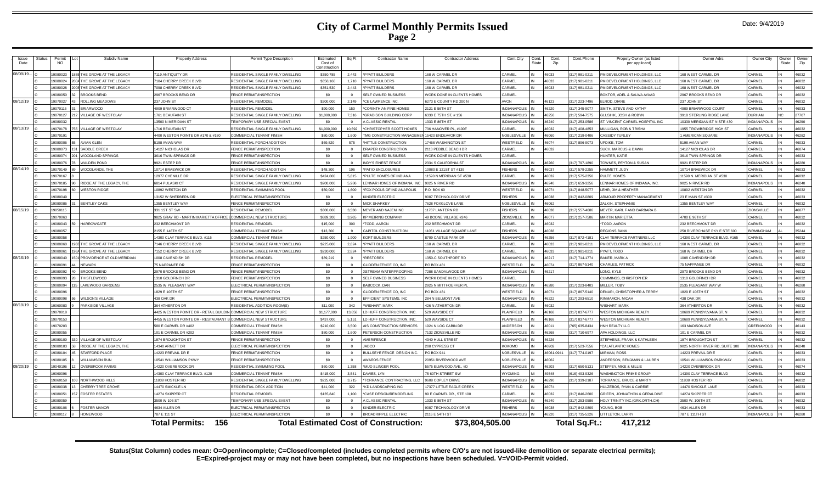| Issue<br>Date | 3tat⊔s | Permit<br><b>NO</b> | Subdiv Name                | <b>Property Address</b>                | <b>Permit Type Description</b>           | Estimated<br>Cost of<br>Constructio | Sq Ft      | <b>Contractor Name</b>                       | <b>Contractor Address</b>         | Cont.City<br>Cont.<br>State | Cont.<br>Zip | Cont.Phone           | Propety Owner (as listed<br>per applicant) | <b>Owner Adrs</b>             | Owner City          | )wner<br>Owner<br>State<br>Zip |
|---------------|--------|---------------------|----------------------------|----------------------------------------|------------------------------------------|-------------------------------------|------------|----------------------------------------------|-----------------------------------|-----------------------------|--------------|----------------------|--------------------------------------------|-------------------------------|---------------------|--------------------------------|
| 08/09/19.     |        | 19080023            | HE GROVE AT THE LEGACY     | 7119 ANTIQUITY DR                      | RESIDENTIAL SINGLE FAMILY DWELLING       | \$350,785                           | 2,443      | *PYATT BUILDERS                              | 168 W CARMEL DR                   | CARMEL                      | 46033        | 317) 981-0211        | M DEVELOPMENT HOLDINGS, LLC                | 68 WEST CARMEL DR             | <b>CARMEL</b>       | 6032                           |
|               |        | 19080024            | HE GROVE AT THE LEGACY     | 104 CHERRY CREEK BLVD                  | RESIDENTIAL SINGLE FAMILY DWELLING       | \$358,160                           | 1.710      | PYATT BUILDERS                               | 68 W CARMEL DR                    | CARMEL                      | 46033        | 317) 981-0211        | M DEVELOPMENT HOLDINGS, LLC                | 68 WEST CARMEL DR             | ARMEI               | 6032                           |
|               |        | 1908002             | HE GROVE AT THE LEGACY     | 7098 CHERRY CREEK BLVD                 | RESIDENTIAL SINGLE FAMILY DWELLING       | \$351,530                           | 2,443      | *PYATT BUILDERS                              | 168 W CARMEL DR                   | CARMEL                      | 46033        | 317) 981-0211        | PM DEVELOPMENT HOLDINGS, LLC               | 168 WEST CARMEL DR            | CARMEL              | 16032                          |
|               |        | 19080050            | ROOKS BEND                 | 2967 BROOKS BEND DR                    | <b>ENCE PERMIT/INSPECTION</b>            | \$0                                 |            | SELF OWNED BUSINESS                          | VORK DONE IN CLIENTS HOMES        | CARMEL                      |              |                      | <b>BOKTOR, ADEL &amp; SALWA AYAAD</b>      | 967 BROOKS BEND DR            | <b>ARMEL</b>        | 16032                          |
| 08/12/19      |        | 19070027            | ROLLING MEADOWS            | 237 JOHN ST                            | RESIDENTIAL REMODEL                      | \$200,000                           | 2.149      | *CE LAWRENCE INC.                            | 6273 E COUNTY RD 200 N            | <b>AVON</b>                 | 46123        | 317) 223-7496        | I ROD, DIANE                               | 37 JOHN ST                    | <b>ARMEL</b>        | 16032                          |
|               |        | 1907011             | RIARWOOD                   | 4909 BRIARWOOD CT                      | RESIDENTIAL REMODEL                      | \$90,000                            | 150        | CORINTHIAN FINE HOMES                        | 2121 E 56TH ST                    | <b>INDIANAPOLIS</b>         | 46220        | 317) 345-9077        | MITH, STEVE AND KATHY                      | 4909 BRIARWOOD COURT          | CARMEL              | 46033                          |
|               |        | 19070127            | <b>ILLAGE OF WESTCLAY</b>  | 1761 BEAUFAIN ST                       | RESIDENTIAL SINGLE FAMILY DWELLING       | \$1,000,000                         | 7.316      | 'GRADISON BUILDING CORP                      | 3330 E 75TH ST, # 156             | <b>INDIANAPOLIS</b>         | 46250        | 317) 594-7575        | LUSHIK, JOSH & ROBYN                       | 3918 STERLING RIDGE LANE      | <b>URHAM</b>        | 27707                          |
|               |        | 19080032            |                            | 13500 N MERIDIAN ST                    | <b>FEMPORARY USE SPECIAL EVENT</b>       | \$0                                 | $\sqrt{2}$ | A CI ASSIC RENTAL                            | 1333 F 86TH ST                    | <b>INDIANAPOLIS</b>         | 46240        | 317) 253-0586        | T. VINCENT CARMEL HOSPITAL INC             | 0330 MERIDIAN ST N STE 430    | <b>INDIANAPOLIS</b> | 16290                          |
| 08/13/19      |        | 19070178            | <b>ILLAGE OF WESTCLAY</b>  | 1716 BEAUFAIN ST                       | RESIDENTIAL SINGLE FAMILY DWELLING       | \$1,000,000                         | 10.692     | CHRISTOPHER SCOTT HOMES                      | 736 HANOVER PL, #100F             | CARMEL                      | 16032        | 317) 408-4853        | <b>ULLIGAN, ROB &amp; TRISHA</b>           | 955 TROWBRIDGE HIGH ST        | <b>ARMEL</b>        | 16032                          |
|               |        | 19070191            |                            | 4400 WESTON POINTE DR #170 & #180      | COMMERCIAL TENANT FINISH                 | \$80,000                            | 1.600      | MG CONSTRUCTION MANAGEME                     | 15420 ENDEAVOR DR                 | NOBLESVILLE                 | 46060        | 317) 219-0406        | <b>ASSIDY TURLEY</b>                       | <b>AMERICAN SQUARE</b>        | <b>INDIANAPOLIS</b> | 16282                          |
|               |        | 19080006            | <b>WIAN GLEN</b>           | 5198 AVIAN WAY                         | <b>ESIDENTIAL PORCH ADDITION</b>         | \$69,820                            | 575        | *HITTLE CONSTRUCTION                         | 7466 WASHINGTON ST                | WESTFIELD                   | 46074        | 317) 896-9073        | PDIKE, TOM                                 | 198 AVIAN WAY                 | <b>ARMEL</b>        | 16033                          |
|               |        | 19080073            | SADDLE CREEK               | 14127 NICHOLAS DR                      | <b>ENCE PERMIT/INSPECTION</b>            | \$0                                 |            | DRAPER CONSTRUCTION                          | 113 PEBBLE BEACH DR               | CARMEL                      | 46032        |                      | <b>UCH, MARCUS &amp; DAWN</b>              | 14127 NICHOLAS DF             | ARMEI               | 46074                          |
|               |        | 1908007             | VOODLAND SPRINGS           | 3616 TWIN SPRINGS DF                   | <b>FRICE PERMIT/INSPECTION</b>           | \$0                                 |            | SELF OWNED BUSINESS                          | VORK DONE IN CLIENTS HOMES        | CARMEL                      |              |                      | HUNTER, KATIF                              | 3616 TWIN SPRINGS DR          | CARMEL              | 46033                          |
|               |        | 1908007             | ALDEN POND                 | 9921 ESTEP DR                          | <b>ENCE PERMIT/INSPECTION</b>            | \$0                                 | $\Omega$   | <b>INDY'S FINEST FENCE</b>                   | 2334 S CALIFORNIA ST              | <b>INDIANAPOLIS</b>         | 46260        | 317) 797-1890        | OWNES, PEYTON & SUSAN                      | 9921 ESTEP DR                 | NDIANAPOLIS         | 16280                          |
| 08/14/19      |        | 19070149            | VOODLANDS, THE             | 10714 BRAEWICK DR                      | RESIDENTIAL PORCH ADDITION               | \$48,300                            | 196        | PATIO ENCLOSURES                             | 0080 E 121ST ST #139              | <b>ISHERS</b>               | 46037        | 317) 579-2255        | <b>JAMMETT, JUDY</b>                       | 0714 BRAEWICK DR              | <b>ARMEL</b>        | 46033                          |
|               |        | 19070167            |                            | 12977 CHENILLE DF                      | RESIDENTIAL SINGLE FAMILY DWELLING       | \$424,000                           | 5.815      | PULTE HOMES OF INDIANA                       | 1590 N MERIDIAN ST #53            | CARMEL                      | 46032        | 317) 575-2350        | UITE HOMES                                 | 1590 N. MERIDIAN ST #530      | <b>ARMEL</b>        | 46032                          |
|               |        | 19070185            | RIDGE AT THE LEGACY. THE   | 6814 PULASKI CT                        | RESIDENTIAL SINGLE FAMILY DWELLING       | \$200,000                           | 5.986      | ENNAR HOMES OF INDIANA, INC.                 | 9025 N RIVER RD                   | <b>INDIANAPOLIS</b>         | 46240        | 317) 659-3256        | ENNAR HOMES OF INDIANA, INC.               | 9025 N RIVER RD               | <b>INDIANAPOLIS</b> | 46240                          |
|               |        | 19070198            | <b>VESTON RIDGE</b>        | 10892 WESTON DR                        | RESIDENTIAL SWIMMING POOL                | \$50,000                            | 1.600      | *FOX POOLS OF INDIANAPOLIS                   | P.O. BOX 60                       | WESTFIELD                   | 46074        | 317) 848-5077        | FHR JIM & HEATHER                          | 0892 WESTON DF                | ARMEL               | 16032                          |
|               |        | 19080049            |                            | 13152 W SHERBERN DF                    | <b>I ECTRICAL PERMIT/INSPECTION</b>      | \$0                                 |            | <b>INDER ELECTRIC</b>                        | 087 TECHNOLOGY DRIVE              | <b>ISHERS</b>               | 16038        | 17) 842-0809         | RMOUR PROPERTY MANAGEMENT                  | 3 F MAIN ST #300              | <b>ARMEL</b>        | 6033                           |
|               |        | 19080086            | <b>BENTLEY OAKS</b>        | 1355 BENTLEY WAY                       | <b>ENCE PERMIT/INSPECTION</b>            | \$0                                 |            | <b>MICK SHARKEY</b>                          | 7628 FOXGLOVE LANE                | <b>NOBLESVILLE</b>          | 46062        |                      | AI KIN, STEPHANIE                          | 355 BENTLEY WAY               | CARMEL              | 16032                          |
| 08/15/19      |        | 19050115            |                            | 331 1ST ST SW                          | RESIDENTIAL REMODEL                      | \$300,000                           | 3.530      | MEYER AND NAJEM INC                          | 1787 LANTERN RD                   | <b>FISHERS</b>              | 46038        | 317) 557-4686        | <b>IEYER, KARL FAND BARBARA B</b>          |                               | ZIONSVILLE          | 6077                           |
|               |        | 19070063            |                            | 9825 GRAY RD - MARTIN MARIETTA OFFICE  | COMMERCIAL NEW STRUCTURE                 | \$689,200                           | 3.965      | <b>KP MEIRING COMPANY</b>                    | 9 BOONE VILLAGE #246              | ZIONSVILLE                  | 46077        | 317) 257-7506        | <b>MARTIN MARIETTA</b>                     | 700 E 96TH ST                 | <b>ARMEL</b>        | 16032                          |
|               |        | 1908004             | <b>HARROWGATE</b>          | 232 BEECHMONT DF                       | <b>RESIDENTIAL REMODEL</b>               | \$15,000                            | 300        | TODD, AARON                                  | 232 BEECHMONT DE                  | CARMEL                      | 46032        |                      | TODD, AARON                                | 232 BEECHMONT DF              | <b>ARMEL</b>        | 46032                          |
|               |        | 19080057            |                            | 2155 E 146TH ST                        | COMMERCIAL TENANT FINISH                 | \$13,300                            |            | CAPITOL CONSTRUCTION                         | 11051 VILLAGE SQUARE LANE         | <b>FISHERS</b>              | 46038        |                      | <b>REGIONS BANK</b>                        | 250 RIVERCHASE PKY E STE 600  | <b>IRMINGHAM</b>    | 35244                          |
|               |        | 19080058            |                            | 14300 CLAY TERRACE BLVD, #115          | COMMERCIAL TENANT FINISH                 | \$250,000                           | 1.900      | KORT BUILDERS                                | <b>3709 CASTI F PARK DR</b>       | <b>INDIANAPOLIS</b>         | 46256        | 317) 872-4181        | LAY TERRACE PARTNERS LLC                   | 4390 CLAY TERRACE BLVD, #165  | ARMEI               | 16032                          |
|               |        | 9080060             | HE GROVE AT THE LEGACY     | 146 CHERRY CREEK BLVD                  | <b>ESIDENTIAL SINGLE FAMILY DWELLING</b> | \$225,000                           | 2.824      | YATT BUILDERS                                | 68 W CARMEL DF                    | CARMEL                      | 16033        | 17) 981-0211         | M DEVELOPMENT HOLDINGS, LLC                | 68 WEST CARMEL D              | ARMEL               | 6032                           |
|               |        | 19080061            | HE GROVE AT THE LEGACY     | 7152 CHERRY CREEK BLVD                 | RESIDENTIAL SINGLE FAMILY DWELLING       | \$230,000                           | 2.824      | *PYATT BUILDERS                              | 168 W CARMEL DR                   | CARMEL                      | 46033        | 317) 981-0211        | YATT, TODD                                 | 168 W CARMEL DR               | <b>ARMEL</b>        | 46032                          |
| 08/16/19      |        | 19080040            | PROVIDENCE AT OLD MERIDIAN | 1008 CAVENDISH DR                      | RESIDENTIAL REMODEL                      | \$89,219                            | $\sqrt{2}$ | <b>RESTOREX</b>                              | 1350-C SOUTHPORT RD               | <b>INDIANAPOLIS</b>         | 46217        | 317) 714-1774        | AKER, MARK A                               | 008 CAVENDISH DI              | <b>ARMEL</b>        | 46032                          |
|               |        | 908009              | NEWARK                     | 75 NAPPANEE DR                         | ENCE PERMIT/INSPECTION                   | \$0                                 | $\Omega$   | <b>GLIDDEN FENCE CO, INC</b>                 | PO BOX 48                         | <b>NESTFIELD</b>            | 16074        | 317) 867-5140        | HARI FS. PATRICK                           | 5 NAPPANEE DE                 | <b>ARMEL</b>        | 16032                          |
|               |        | 1908009             | <b>RROOKS REND</b>         | 2970 BROOKS BEND DR                    | <b>ENCE PERMIT/INSPECTION</b>            | \$0                                 |            | <b>ISTREAM WATERPROOFING</b>                 | 7288 SANDALWOOD DR                | <b>INDIANAPOLIS</b>         | 46217        |                      | ONG KYLE                                   | 2970 BROOKS BEND DI           | CARMEL              | 16032                          |
|               |        | 19080093            | <b>HISTLEWOOD</b>          | 1310 GOLDFINCH DR                      | <b>ENCE PERMIT/INSPECTION</b>            | \$0                                 |            | SELF OWNED BUSINESS                          | <b>NORK DONE IN CLIENTS HOMES</b> | CARMEL                      |              |                      | UMMINGS, CHRISTOPHER                       | 310 GOLDFINCH DR              | CARMEL              | 46032                          |
|               |        | 19080094            | AKEWOOD GARDENS            | 2535 W PLEASANT WAY                    | <b>LECTRICAL PERMIT/INSPECTION</b>       | \$0                                 | $\sqrt{2}$ | BABCOCK, DAN                                 | <b>2925 N MITTHOFFFFR PI</b>      | <b>INDIANAPOLIS</b>         | 46280        | 317) 223-8403        | <b>AILLER TORY</b>                         | 535 PLEASANT WAY W            | <b>ARMEL</b>        | 16280                          |
|               |        | 1908009             |                            | 1829 F 106TH ST                        | FENCE PERMIT/INSPECTION                  | \$0                                 |            | GLIDDEN FENCE CO. INC                        | PO ROX 481                        | WESTFIELD                   | 46074        | 317) 867-5140        | <b>ENARI, CHRISTOPHER &amp; TERRY</b>      | 1829 F 106TH ST               | CARMEL              | 16032                          |
|               |        | 19080098            | <b>NILSON'S VILLAGE</b>    | 438 OAK DR                             | ELECTRICAL PERMIT/INSPECTION             | \$0                                 | $\Omega$   | EFFICIENT SYSTEMS, INC                       | 284 N BELMONT AVE                 | <b>INDIANAPOLIS</b>         | 46222        | 317) 293-6510        | <b>IMMAMON, MICAH</b>                      | 438 OAK DR                    | CARMEL              | 16032                          |
| 08/19/19      |        | 19060083            | ARKSIDE VILLAGE            | 364 ATHERTON DR                        | RESIDENTIAL ADDITION-ROOM(S              | \$11,000                            | 342        | <b>WISHART, MARK</b>                         | <b>426 N ATHERTON DR</b>          | CARMEL                      | 46032        |                      | <b>VISHART, MARK</b>                       | 364 ATHERTON DR               | <b>CARMEL</b>       | 16032                          |
|               |        | 1907001             |                            | 4425 WESTON POINTE DR - RETAIL BUILDII | COMMERCIAL NEW STRUCTURE                 | \$1,177,000                         | 13,858     | HUFF CONSTRUCTION, INC.                      | 529 WAYSIDE CT                    | PLAINFIELD                  | 46168        | 317) 837-6777        | <b>VESTON MICHIGAN REALTY</b>              | 0689 PENNSYLVANIA ST. N       | <b>ARMEL</b>        | 6032                           |
|               |        | 19070153            |                            | 4455 WESTON POINTE DR - RESTAURANT     | COMMERCIAL NEW STRUCTURI                 | \$437,000                           | 5 1 5 1    | HIJFE CONSTRUCTION INC.                      | 529 WAYSIDE CT                    | PI AINFIFI D                | 46168        | 17) 837-6777         | <b>ESTON MICHIGAN REALTY</b>               | 0689 PENNSYLVANIA ST. N       | ARMEI               | 16032                          |
|               |        | 19070203            |                            | 580 E CARMEL DR #402                   | OMMERCIAL TENANT FINISH                  | \$210,000                           | 3,500      | AIS CONSTRUCTION SERVICES                    | 1924 N LOG CABIN DR               | ANDERSON                    | 46011        | 765) 635-8434        | INH REALTY LLC                             | 63 MADISON AVE                | GREENWOOD           | 16143                          |
|               |        | 19080055            |                            | 101 E CARMEL DR #202                   | COMMERCIAL TENANT FINISH                 | \$80,000                            | 1,600      | PETERSON CONSTRUCTION                        | 132 ZIONSVILLE RD                 | <b>INDIANAPOLIS</b>         | 46268        | 317) 710-6977        | PA HOLDINGS, LLC                           | 01 E CARMEL DR                | ARMFI:              | 6032                           |
|               |        | 19080100            | <b>VILLAGE OF WESTCLAY</b> | 1874 BROUGHTON ST                      | <b>FRICE PERMIT/INSPECTION</b>           | \$0                                 |            | <b>MERIFENCE</b>                             | 4340 HULL STREET                  | INDIANAPOLIS                | 46226        |                      | STEPHENS, FRANK & KATHLEEN                 | 1874 BROUGHTON ST             | CARMEL              | 16032                          |
|               |        | 19080103            | RIDGE AT THE LEGACY, THE   | 14340 ARNETT DR                        | LECTRICAL PERMIT/INSPECTION              | \$0                                 | $\Omega$   | <b>JADCO</b>                                 | 208 CYPRESS CT                    | KOKOMO                      | 46902        | 317) 523-7556        | CALATLANTIC HOMES                          | 025 NORTH RIVER RD, SUITE 100 | NDIANAPOLIS         | 6240                           |
|               |        | 19080104            | TAFFORD PLACE              | 14223 PREVAIL DR E                     | <b>ENCE PERMIT/INSPECTION</b>            | \$0                                 | $\sqrt{2}$ | BULLSEYE FENCE DESIGN INC.                   | PO BOX 941                        | NOBLESVILLE                 | 46061-0941   | 317) 774-0197        | <b>IRMAN, ROSS</b>                         | 4223 PREVAIL DR E             | ARMEI               | 16033                          |
|               |        | 19080105            | <b>VILLIAMSON RUN</b>      | 10541 WILLIAMSON PKWY                  | <b>ENCE PERMIT/INSPECTION</b>            | \$0                                 |            | <b>WARDS FENCE</b>                           | 0951 RIVERWOOD AVE                | NOBLESVILLE                 | 46062        |                      | <b>INDERSON, BENJAMIN &amp; LAUREN</b>     | 10541 WILLIAMSON PARKWAY      | CARMEL              | 46033                          |
| 08/20/19      |        | 19040196            | <b>OVERBROOK FARMS</b>     | 14220 OVERBROOK DR                     | RESIDENTIAL SWIMMING POOL                | \$60,000                            | 1.358      | *MUD SLINGER POOL                            | 5575 ELMWOOD AVE., #D             | <b>INDIANAPOLIS</b>         | 46203        | 317) 650-5131        | TEFFEY, MIKE & MILLIE                      | 4220 OVERBROOK DR             | CARMEL              | 46074                          |
|               |        | 19060096            |                            | 14300 CLAY TERRACE BLVD, #120          | COMMERCIAL TENANT FINISH                 | \$415,000                           | 3.541      | DAVIES. I YN                                 | 5 60TH STREET SW                  | <b>WYOMING</b>              | 49548        | 616) 493-9326        | VASHINGTON PRIME GROUP                     | 4390 CLAY TERRACE BLVD        | ARMEL               | 16032                          |
|               |        | 1906015             | NORTHWOOD HILLS            | 11838 HOSTER RD                        | RESIDENTIAL SINGLE FAMILY DWELLING       | \$225,000                           | 3,715      | <b>ORRANCE CONTRACTING, LLC</b>              | <b>9608 COPLEY DRIVE</b>          | <b>INDIANAPOLIS</b>         | 46290        | 317) 339-2187        | ORRANCE, BRUCE & MART                      | 1838 HOSTER RD                | CARMEL              | 16032                          |
|               |        | <b>SCOQROOL</b>     | CHERRY TREE GROVE          | 14470 SMICKLE LN                       | RESIDENTIAL DECK ADDITION                | \$41,000                            | 322        | *KD LANDSCAPING INC                          | 7377 LITTLE EAGLE CREEK           | WESTFIFLD                   | 46074        |                      | <b>IULZEBOS, RYAN &amp; CARRIE</b>         | 14470 SMICKLE LANI            | <b>CARMEL</b>       | 16033                          |
|               |        | 19080051            | <b>FOSTER ESTATES</b>      | 14274 SKIPPER CT                       | RESIDENTIAI REMODEI                      | \$135,840                           | 1,100      | *CASE DESIGN/REMODELING                      | 99 E CARMEL DR., STE 100          | CARMEL                      | 46032        | 317) 846-2600        | GRIFFIN, JOHNATHON & GERALDINE             | 14274 SKIPPER CT              | CARMEL              | 46033                          |
|               |        | 19080059            |                            | 3500 W 106 ST                          | TEMPORARY USE SPECIAL EVENT              | \$0                                 |            | <b>CLASSIC RENTA</b>                         | 1333 E 86TH ST                    | INDIANAPOLIS                | 46240        | 317) 253-0586        | <b>JOLY TRINITY INC. (GRK.ORTH.CH)</b>     | 3500 W. 106TH ST              | ARMEI               | 6032                           |
|               |        | 19080106            | <b>FOSTER MANOR</b>        | 4634 ALLEN DR                          | ELECTRICAL PERMIT/INSPECTION             | \$0                                 |            | KINDER EI ECTRIC                             | 9087 TECHNOLOGY DRIVE             | <b>FISHERS</b>              | 46038        | 317) 842-0809        | OUNG BOB                                   | 4634 ALLEN DR                 | CARMEL              | 46033                          |
|               |        | 19080112            | <b>HOMEWOOD</b>            | 787 E 111 ST                           | ELECTRICAL PERMIT/INSPECTION             | \$0                                 |            | <b>BROADRIPPLE ELECTRIC</b>                  | 2116 E 54TH ST                    | <b>INDIANAPOLIS</b>         | 46220        | 317) 735-5226        | <b>ITTLETON, LARRY</b>                     | 787 E 111TH ST                | <b>INDIANAPOLIS</b> | 16280                          |
|               |        |                     |                            | 156<br>Total Permits:                  |                                          |                                     |            | <b>Total Estimated Cost of Construction:</b> | \$73,804,505.00                   |                             |              | <b>Total Sq.Ft.:</b> | 417.212                                    |                               |                     |                                |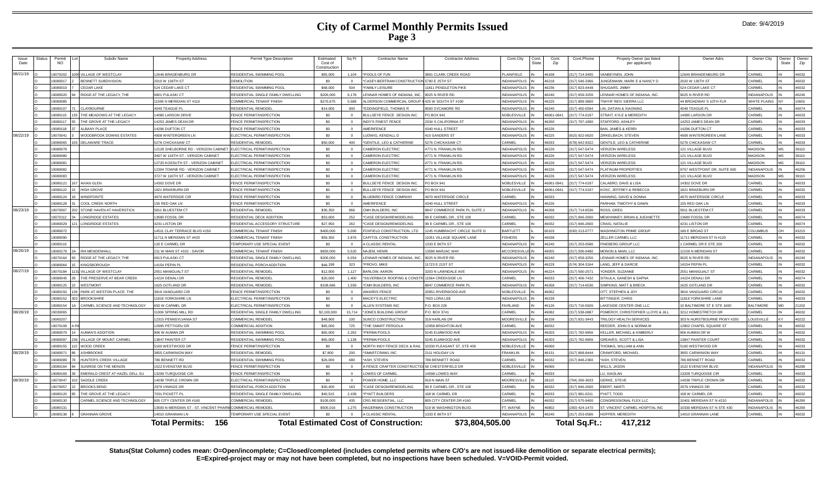| Issue<br>Date | Status | Permit<br><b>NO</b> | Subdiv Name                    | <b>Property Address</b>                | Permit Type Description                   | Estimated<br>Cost of<br>Constructio | Sq Ft      | <b>Contractor Name</b>                          | <b>Contractor Address</b>     | Cont.City<br>Cont.<br>State | Cont<br>Zip    | Cont.Phone                      | Propety Owner (as listed<br>per applicant) | Owner Adrs                        | Owner City          | Owner<br>State | Owner<br>Zip |
|---------------|--------|---------------------|--------------------------------|----------------------------------------|-------------------------------------------|-------------------------------------|------------|-------------------------------------------------|-------------------------------|-----------------------------|----------------|---------------------------------|--------------------------------------------|-----------------------------------|---------------------|----------------|--------------|
| 08/21/19      |        | 9070202             | <b>ILLAGE OF WESTCLAY</b>      | 2646 BRADENBURG DR                     | RESIDENTIAL SWIMMING POOL                 | \$55,000                            | 1.104      | *POOLS OF FUN                                   | 891 CLARK CREEK ROAD          | PLAINFIELD                  | 46168          | 317) 714-3495                   | ANBEYNEN, JOHN                             | 2646 BRANDENBURG DR               | CARMEL              |                | 46032        |
|               |        | 9080017             | BENNETT SUBDIVISION            | 2010 W 136TH ST                        | DEMOLITION                                | \$0                                 | $\sqrt{2}$ | *CASEY-BERTRAM CONSTRUCTION                     | 5780 F 25TH ST                | INDIANAPOLIS                | 46218          | (317) 546-3366                  | <b>INGEMANN, MARK F &amp; NANCY D</b>      | 020 W 136TH ST                    | CARMEL              |                | 46032        |
|               |        | 9080019             | <b>CEDAR LAKE</b>              | 524 CEDAR LAKE CT                      | RESIDENTIAL SWIMMING POOL                 | \$68,000                            | 504        | *FAMILY LEISURE                                 | 11811 PENDLETON PIKE          | INDIANAPOLIS                | 46236          | 317) 823-4448                   | HUGARS. JIMMY                              | 24 CEDAR LAKE CT                  | CARMEL              |                | 46032        |
|               |        | 9080020             | RIDGE AT THE LEGACY, THE       | 6801 PULASKI CT                        | RESIDENTIAL SINGLE FAMILY DWELLING        | \$200,000                           | 6.178      | LENNAR HOMES OF INDIANA, INC.                   | 9025 N RIVER RD               | <b>INDIANAPOLIS</b>         | 46240          | 317) 659-3256                   | ENNAR HOMES OF INDIANA, INC                | 9025 N RIVER RD                   | <b>INDIANAPOLIS</b> |                | 46240        |
|               |        | 19080085            |                                | 1595 N MERIDIAN ST #110                | COMMERCIAL TENANT FINISH                  | \$270.675                           | 5,588      | ALDERSON COMMERCIAL GROUP                       | 425 W SOUTH ST #100           | <b>INDIANAPOLIS</b>         | 46225          | (317) 889-3800                  | NHYIF REIV SIERRA LLC                      | 4 BROADWAY S 10TH FLR             | WHITE PLAINS        |                | 10601        |
|               |        | 9080107             | <b>CLAYBOURNE</b>              | 049 TEAGUE PL                          | RESIDENTIAL REMODEL                       | \$14,000                            | 900        | *EDDINGFIELD, THOMAS R                          | 000 SYCAMORE RD               | NDIANAPOLIS                 | 46240          | 317) 450-559                    | IN. DATIAN & XIAONING                      | 049 TEAGUE PL                     | CARMEL              |                | 46074        |
|               |        | 908011              | THE MEADOWS AT THE LEGACY      | 4080 LARSON DRIVE                      | FENCE PERMIT/INSPECTION                   | \$0                                 | $\Omega$   | BULLSEYE FENCE DESIGN INC.                      | PO BOX 941                    | NOBLESVILLE                 | 46061-094      | (317) 774-0197                  | TRAIT. KYI F & MFREDITH                    | 4080 LARSON DF                    | CARMEL              |                | 46033        |
|               |        | 9080117             | THE GROVE AT THE LEGACY        | 14253 JAMES DEAN DR                    | <b>ENCE PERMIT/INSPECTION</b>             | \$0                                 | $\Omega$   | <b>INDY'S FINEST FENCE</b>                      | 2334 S CALIFORNIA ST          | <b>INDIANAPOLIS</b>         | 46260          | 317) 797-1890                   | TAFFORD, ASHI FY                           | 4253 JAMES DEAN DR                | CARME               |                | 46033        |
|               |        | 9080118             | <b>LBANY PLACE</b>             | 4296 DUFTON CT                         | ENCE PERMIT/INSPECTION                    | \$0                                 |            | AMERIFENCE                                      | 340 HULL STREET               | NDIANAPOLIS                 | 46226          |                                 | AN, JAMES & KERR                           | 4296 DUFTON CT                    | CARMEI              |                | 46033        |
| 08/22/19      |        | 907004              | <b>NOODBROOK DOWNS ESTATES</b> | <b>4908 WINTERGREEN LN</b>             | ELECTRICAL PERMIT/INSPECTION              | \$0                                 | $\sqrt{2}$ | <b>LUDWIG, KENDALL D</b>                        | 410 SANDERS ST                | <b>INDIANAPOLIS</b>         | 46225          | (815) 922-0620                  | <b>IRKELBACH, STEVEN</b>                   | <b>4908 WINTERGREEN LANE</b>      | CARMEL              |                | 46033        |
|               |        | 9080065             | DELAWARE TRACE                 | 5276 CHICKASAW CT                      | RESIDENTIAL REMODEL                       | \$50,000                            | 400        | *GENTILE, LEO & CATHERINE                       | 5276 CHICKASAW CT             | CARMEL                      | 46033          | 678) 642-9322                   | ENTILE, LEO & CATHERINE                    | 276 CHICKASAW CT                  | CARMEL              |                | 46033        |
|               |        | 9080078             |                                | 2128 SHELBORNE RD - VERIZON CABINET    | ELECTRICAL PERMIT/INSPECTION              | \$0                                 |            | <b>CAMERON ELECTRIC</b>                         | <b>4771 N. FRANKLIN RD</b>    | <b>INDIANAPOLIS</b>         | 46226          | 317) 547-5474                   | <b>ERIZON WIRELESS</b>                     | 121 VILLAGE BLVD                  | <b>MADISON</b>      |                | 39110        |
|               |        | 9080080             |                                | 3407 W 126TH ST - VERIZON CABINET      | <b>I ECTRICAL PERMIT/INSPECTION</b>       | \$0                                 |            | CAMERON ELECTRIC                                | 4771 N FRANKLIN RE            | INDIANAPOLIS                | 46226          | (317) 547-5474                  | <b>FRIZON WIRFLESS</b>                     | 121 VILLAGE BLVD                  | MADISON             |                | 39110        |
|               |        | 908008              |                                | 2720 KOSSUTH ST - VERIZON CABINET      | LECTRICAL PERMIT/INSPECTION               | \$0                                 |            | <b>CAMERON ELECTRIC</b>                         | <b>4771 N. FRANKLIN RD</b>    | <b>INDIANAPOLIS</b>         | 46226          | 317) 547-5474                   | <b>FRIZON WIRFI FSS</b>                    | 21 VILLAGE BLVD                   | MADISON             |                | 39110        |
|               |        | 9080082             |                                | 2304 TOWNE RD - VERIZON CABINET        | <b>ELECTRICAL PERMIT/INSPECTION</b>       | \$0                                 | $\Omega$   | CAMERON ELECTRIC                                | 4771 N. FRANKLIN RD.          | NDIANAPOLIS                 | 46226          | 317) 547-5474                   | LATINUM PROPERTIES                         | 9757 WESTPOINT DR, SUITE 600      | <b>INDIANAPOLIS</b> |                | 46256        |
|               |        | 9080083             |                                | 3727 W 116TH ST - VERIZON CABINET      | <b>ELECTRICAL PERMIT/INSPECTION</b>       | \$0                                 |            | <b>CAMERON ELECTRIC</b>                         | 4771 N. FRANKLIN RD           | <b>INDIANAPOLIS</b>         | 46226          | (317) 547-5474                  | ERIZON WIRELESS                            | 121 VILLAGE BLVD                  | <b>MADISON</b>      |                | 39110        |
|               |        | 9080121             | <b>AVIAN GLEN</b>              | 4302 DOVE DR                           | <b>ENCE PERMIT/INSPECTION</b>             | \$0                                 | $\Omega$   | BULLSEYE FENCE DESIGN INC.                      | PO BOX 941                    | <b>NOBLESVILLE</b>          | 46061-094      | (317) 774-0197                  | ALABRO, DAVE & LISA                        | 4302 DOVE DR                      | CARMEL              |                | 46033        |
|               |        | 9080122             | <b>HIGH GROVE</b>              | 1821 BRAFBURN DE                       | <b>ENCE PERMIT/INSPECTION</b>             | \$0                                 | $\sqrt{2}$ | BULLSEYE FENCE DESIGN INC.                      | PO BOX 941                    | NOBLESVILLE                 | 46061-0941     | (317) 774-0197                  | OSC. JEFFREY & REBECCA                     | 821 BRAFBURN DR                   | CARMEL              |                | 46032        |
|               |        | 9080124             | <b>INDPOINTE</b>               | <b>970 WATERSIDE CIF</b>               | ENCE PERMIT/INSPECTION                    | \$0                                 |            | <b>BLUEBIRD FENCE COMPANY</b>                   | 970 WATERSIDE CIRCLE          | CARMEL                      | 46033          |                                 | ANNING, DAVID & DONNA                      | <b>970 WATERSIDE CIRCLE</b>       | <b>ARMEI</b>        |                | 46033        |
|               |        | 9080128             | COOL CREEK NORTH               | 55 RED OAK LN                          | <b>ENCE PERMIT/INSPECTION</b>             | \$0                                 | $\Omega$   | <b>AMERIFENCE</b>                               | 4340 HULL STREET              | <b>INDIANAPOLIS</b>         | 46226          |                                 | ARHAM, TIMOTHY & DAWN                      | 55 RED OAK LN                     | CARMEL              |                | 46033        |
| 08/23/19      |        | 9070007             | STONE HAVEN AT HAVERSTICK      | 5811 BLUESTEM CT                       | RESIDENTIAL REMODEL                       | \$30,350                            | 866        | CMH BUILDERS. INC                               | 8847 COMMERCE PARK PL SUITE J | <b>INDIANAPOLIS</b>         | 46268          | (317) 714-6536                  | OSS, GREG                                  | 5811 BLUESTEM CT                  | CARMEL              |                | 46033        |
|               |        | 9070112             | ONGRIDGE ESTATES               | 3680 FOSSIL DR                         | RESIDENTIAL DECK ADDITION                 | \$53,600                            | 252        | *CASE DESIGN/REMODELING                         | 9 E CARMEL DR., STE 100       | CARMEL                      | 46032          | (317) 846-2600                  | <b>IEWHINNEY, BRIAN &amp; JUEANETTE</b>    | 3680 FOSSIL DR                    | ARMEI               |                | 46074        |
|               |        | 908002              | ONGRIDGE ESTATES               | 4231 LISTON DR                         | RESIDENTIAL ACCESSORY STRUCTURE           | \$27,950                            | 262        | *CASE DESIGN/REMODELING                         | 9 F CARMEL DR., STE 100       | CARMEL                      | 46032          | 317) 846-2600                   | <b>RAIG NATALIF</b>                        | 4231 LISTON DR                    | CARMEL              |                | 46074        |
|               |        | 9080072             |                                | 4511 CLAY TERRACE BLVD #150            | OMMERCIAL TENANT FINISH                   | \$400,000                           | 5.000      | FOXFIELD CONSTRUCTION. LTD                      | 245 HUMBRACHT CIRCLE SUITE D  | <b>BARTLETT</b>             | 60103          | 330) 213-0777                   | <b>ASHINGTON PRIME GROUP</b>               | 80 E BROAD ST                     | <b>COLUMBUS</b>     |                | 43215        |
|               |        | 9080090             |                                | 1711 N MERIDIAN ST #420                | OMMERCIAL TENANT FINISH                   | \$59,350                            | 2.876      | CAPITOL CONSTRUCTION                            | 1051 VILLAGE SQUARE LANE      | <b>ISHERS</b>               | 46038          |                                 | ELLER CARMEL LLC                           | 711 MERIDIAN ST N #120            | CARMEI              |                | 46032        |
|               |        | 908011              |                                | 20 E CARMEL DR                         | <b>EMPORARY USE SPECIAL EVENT</b>         | \$0                                 |            | A CLASSIC RENTAL                                | 1333 F 86TH ST                | INDIANAPOLIS                | 46240          | (317) 253-058                   | <b>INEBERG GROUP LLO</b>                   | CARMEL DR E STE 200               | CARMEL              |                | 46032        |
| 08/26/19      |        | 9060179             | IRA MENDENHAL                  | 11 W MAIN ST #102 - SAVOR              | COMMERCIAL TENANT FINISH                  | \$650,000                           | 5.520      | NAJEM. HENRI                                    | 3586 MARJAC WAY               | <b>MCCORDSVILLE</b>         | 46055          | (317) 506-0480                  | <b>IONON &amp; MAIN, LLC</b>               | 2156 N MERIDIAN ST                | CARMEL              |                | 46032        |
|               |        | 9070164             | RIDGE AT THE LEGACY. THE       | <b>6813 PULASKI CT</b>                 | RESIDENTIAL SINGLE FAMILY DWELLING        | \$200,000                           | 6.054      | LENNAR HOMES OF INDIANA, INC.                   | 9025 N RIVER RD               | <b>INDIANAPOLIS</b>         | 46240          | 317) 659-3256                   | FNNAR HOMES OF INDIANA. INC.               | 9025 N RIVER RD                   | <b>INDIANAPOLIS</b> |                | 46240        |
|               |        | 908006              | <b>INGSBOROUGH</b>             | 4154 PEPIN PL                          | RESIDENTIAL PORCH ADDITION                | \$46,198                            | 323        | *PROVO, MIKE                                    | 1723 E 21ST ST                | <b>NDIANAPOLIS</b>          | 46229          | 574) 304-3164                   | <b>NG. JEFF &amp; DARCIE</b>               | 4154 PEPIN PI                     | CARMEI              |                | 46032        |
| 08/27/19      |        | 9070184             | <b>ILLAGE OF WESTCLAY</b>      | 2551 MANIGUALT ST                      | RESIDENTIAL REMODEL                       | \$12,000                            | 1.127      | <b>BARLOW, AARON</b>                            | 203 N LAWNDALE AVE            | <b>INDIANAPOLIS</b>         | 46224          | (317) 590-2571                  | ONDER, SUZANNE                             | 551 MANIGUALT ST                  | CARMEL              |                | 46032        |
|               |        | 9080045             | HE PRESERVE AT BEAR CREEK      |                                        | RESIDENTIAI REMODEI                       | \$20,000                            | 1.400      | *SILVERBACK ROOFING & CONSTRI                   | 11564 CREEKSIDE LN            | CARMEL                      |                |                                 |                                            | 4224 DENALI DR                    | CARMEL              |                | 46074        |
|               |        | 9080125             | <b>/FSTMONT</b>                | 14224 DENALI DR                        | <b>ESIDENTIAL REMODEL</b>                 | \$108,686                           | 1.559      | *CMH RUILDERS IN                                | 847 COMMERCE PARK P           | NDIANAPOLIS                 | 46033<br>46268 | (317) 406-7432<br>317) 714-6536 | ITAULA, GANESH & SAPNA                     | 625 GOTI AND DR                   | <b>ARME</b>         |                | 46032        |
|               |        |                     |                                | 625 GOTLAND DR                         |                                           |                                     |            |                                                 |                               |                             |                |                                 | <b>IMPKINS, MATT &amp; BRECK</b>           |                                   |                     |                |              |
|               |        | 9080150             | PARK AT WESTON PLACE. THE      | 3816 VANGUARD CIR                      | FENCE PERMIT/INSPECTION                   | \$0                                 | $\Omega$   | <b>AWARDS FENCE</b>                             | 20951 RIVERWOOD AV            | NORLESVILLE                 | 46062          |                                 | OTT, STEPHEN & JOY                         | <b>3816 VANGLIARD CIRCLE</b>      | CARMEL              |                | 46032        |
|               |        | 9080152             | <b>BROOKSHIRE</b>              | 1816 YORKSHIRE LN                      | <b>ELECTRICAL PERMIT/INSPECTION</b>       | \$0                                 | $\Omega$   | MACEY'S ELECTRIC                                | 7603 LORA LEE                 | <b>INDIANAPOLIS</b>         | 46239          |                                 | <b>ITTINGER, CHRIS</b>                     | 1816 YORKSHIRE LANE               | CARMEL              |                | 46033        |
|               |        | 9080154             | CARMEL SCIENCE AND TECHNOLOGY  | 50 W CARMEL DR                         | <b>ELECTRICAL PERMIT/INSPECTION</b>       | \$0                                 | $\Omega$   | ALLEN SYSTEMS INC                               | P.O. BOX 226                  | FAIRLAND                    | 46126          | 317) 716-5926                   | AKESIDE CENTER ONE LLC                     | 0 BALTIMORE ST E STE 1600         | <b>BALTIMORE</b>    |                | 21202        |
| 08/28/19      |        | 1903006             |                                | 1000 SPRING MILL RD                    | RESIDENTIAL SINGLE FAMILY DWELLING        | \$2,100,000                         | 15.714     | *JONES BUILDING GROUP                           | P.O. BOX 3741                 | CARMEL                      | 46082          | (317) 538-0887                  | OMEROY, CHRISTOPHER LLOYD & JILL           | 3212 HOMESTRETCH DI               | CARMEL              |                | 46032        |
|               |        | 1906020             |                                | 2315 PENNSYLVANIA ST                   | COMMERCIAL REMODEL                        | \$48,900                            | 100        | SUNCO CONSTRUCTION                              | 319 HARLAN DF                 | <b>MOORFSVILLE</b>          | 46158          | 317) 831-3443                   | RILOGY HEALTH SERVICES                     | <b>03 N HURSTROURNE PKWY #200</b> | <b>OUISVILLE</b>    |                | 40222        |
|               |        | 9070108             |                                | 2995 PETTIGRU DF                       | COMMERCIAL ADDITION                       | \$65,000                            | 725        | <b>THE SMART PERGOLA</b>                        | 2958 BRIGHTON AVE             | CARMEL                      | 46032          |                                 | EEDER, JOHN D & NORMA M                    | 2802 CHAPFI SOUARE ST             | CARMEL              |                | 46032        |
|               |        | 908007              | <b>UMAN'S ADDITION</b>         | 06 W AUMAN DR                          | RESIDENTIAL SWIMMING POOL                 | \$65,000                            | 2,262      | *PERMA POOLS                                    | 5245 ELMWOOD AVE              | NDIANAPOLIS                 | 46203          | (317) 782-9956                  | ELLER, MICHAEL & KIMBERL                   | 06 AUMAN DR W                     | CARMEL              |                | 46032        |
|               |        | 908009              | <b>ILLAGE OF MOUNT CARMEL</b>  | 3847 PAINTER CT                        | RESIDENTIAL SWIMMING POOL                 | \$65,000                            | 1.138      | *PERMA POOLS                                    | 5245 ELMWOOD AVE              | <b>INDIANAPOLIS</b>         | 46203          | (317) 782-9956                  | REAVES, SCOTT & LISA                       | 3847 PAINTER COURT                | CARMEL              |                | 46032        |
|               |        | 9080155             | <b>WOOD CREEK</b>              | 160 WESTWOOD DE                        | FENCE PERMIT/INSPECTION                   | \$0                                 |            | NORTH INDY FENCE DECK & RAIL                    | 10330 PLEASANT ST, STE 400    | NOBLESVILLE                 | 46060          |                                 | HOMAS, WILLIAM & ANN                       | 160 WESTWOOD DF                   | CARMEL              |                | 46033        |
| 08/29/19      |        | 908007              | SHBROOKE                       | <b>855 CARWINION WAY</b>               | <b>ESIDENTIAL REMODEL</b>                 | \$7,800                             | 200        | *SMARTCRAWL INC                                 | 111 HOLIDAY LN                | FRANKLIN                    | 46131          | (317) 868-844                   | RAWFORD, MICHAFI                           | 855 CARWINION WAY                 | <b>ARMEI</b>        |                | 46131        |
|               |        | 9080089             | HUNTER'S CREEK VILLAGE         | <b>786 RENNETT RD</b>                  | RESIDENTIAL SWIMMING POOL                 | \$26,000                            | 680        | *ASH. STFVFN                                    | <b>786 RENNETT ROAD</b>       | CARMEL                      | 46032          | (317) 848-2360                  | ASH, STEVEN                                | <b>786 BENNETT ROAD</b>           | CARMEL              |                | 46032        |
|               |        | 9080164             | SUNRISE ON THE MONON           | 522 EVENSTAR BLVD                      | <b>ENCE PERMIT/INSPECTION</b>             | \$0                                 | $\Omega$   | A FENCE CRAFTER CONSTRUCTION 58 CHESTERFIELD DR |                               | NOBLESVILLE                 | 46060          |                                 | VILLS, JASON                               | 522 EVENSTAR BLVD                 | <b>INDIANAPOLIS</b> |                | 46280        |
|               |        | 9080169             | MERALD CREST AT HAZEL DELL SU  | 3209 TURQUOISE CIR                     | <b>ENCE PERMIT/INSPECTION</b>             | \$0                                 | $\Omega$   | LOWES OF CARMEL                                 | 4598 LOWES WAY                | CARMEL                      | 46033          |                                 | U, XIAOLAN                                 | 3209 TURQUOISE CIR                | CARMEI              |                | 46033        |
| 08/30/19      |        | 1907004             | <b>SADDLE CREEK</b>            | 4038 TRIPLE CROWN DF                   | ELECTRICAL PERMIT/INSPECTION              | \$0                                 | $\Omega$   | POWER HOME, LLC                                 | 919 N MAIN ST                 | MOORESVILLE                 | 28115          | 704) 266-3633                   | <b>SERKE, STEV</b>                         | 4038 TRIPLE CROWN DR              | CARMEL              |                | 46032        |
|               |        | 9070057             | ROOKS BEND                     | 979 VININGS DR                         | <b>RESIDENTIAL PORCH ADDITION</b>         | \$30,400                            | 163        | *CASE DESIGN/REMODELING                         | 99 E CARMEL DR., STE 100      | CARMEL                      | 46032          | 317) 846-2600                   | BERT, MARTI                                | 979 VININGS DR                    | <b>ARMEL</b>        |                | 46032        |
|               |        | 9080120             | THE GROVE AT THE LEGACY        | <b>7031 PICKETT PI</b>                 | <b>RESIDENTIAL SINGLE FAMILY DWELLING</b> | \$40.515                            | 2.439      | *PYATT BUILDERS                                 | <b>168 W CARMEL DR</b>        | CARMEL                      | 46033          | (317) 981-0211                  | VATT TODD                                  | 68 W CARMEL DR                    | CARMEL              |                | 46032        |
|               |        | 9080130             | ARMEL SCIENCE AND TECHNOLOGY   | 05 CITY CENTER DR #160                 | <b>COMMERCIAL REMODEL</b>                 | \$100,000                           | 435        | CRG RESIDENTIAL, LLC                            | 805 CITY CENTER DR #160       | CARMEL                      | 46032          | 317) 575-9400                   | ONGRESSIONAL FLEX LLC                      | 0401 MERIDIAN ST N #210           | <b>INDIANAPOLIS</b> |                | 46290        |
|               |        | 9080131             |                                | 3500 N MERIDIAN ST - ST. VINCENT PHARM | COMMERCIAL REMODEL                        | \$505.016                           | 1,275      | HAGERMAN CONSTRUCTION                           | 510 W WASHINGTON BLVD         | FT. WAYNE                   | 46802          | 260) 424-1470                   | T. VINCENT CARMEL HOSPITAL INC             | 0330 MERIDIAN ST N STE 430        | <b>INDIANAPOLIS</b> |                | 46290        |
|               |        | 9080138             | <b>GRANNAN GROVE</b>           | 14010 GRANNAN LN                       | <b>EMPORARY USE SPECIAL EVENT</b>         | \$0                                 |            | A CLASSIC RENTAL                                | 1333 E 86TH ST                | INDIANAPOLIS IN             | 46240          | (317) 253-0586                  | OPPER, MEREDITH                            | 4010 GRANNAN LANE                 | CARMEL              |                | 46032        |
|               |        |                     |                                | 156<br>Total Permits:                  |                                           |                                     |            | <b>Total Estimated Cost of Construction:</b>    | \$73,804,505.00               |                             |                | <b>Total Sq.Ft.:</b>            | 417.212                                    |                                   |                     |                |              |